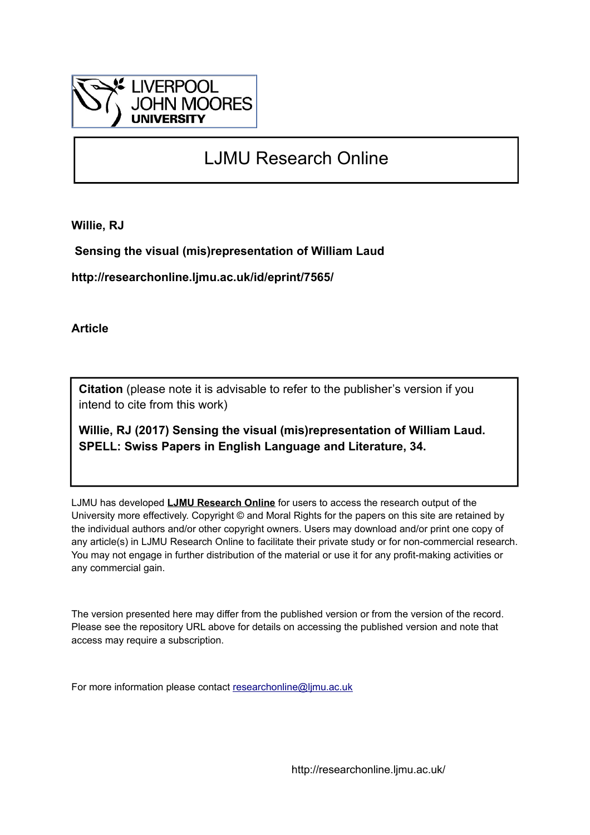

# LJMU Research Online

**Willie, RJ**

 **Sensing the visual (mis)representation of William Laud**

**http://researchonline.ljmu.ac.uk/id/eprint/7565/**

**Article**

**Citation** (please note it is advisable to refer to the publisher's version if you intend to cite from this work)

**Willie, RJ (2017) Sensing the visual (mis)representation of William Laud. SPELL: Swiss Papers in English Language and Literature, 34.** 

LJMU has developed **[LJMU Research Online](http://researchonline.ljmu.ac.uk/)** for users to access the research output of the University more effectively. Copyright © and Moral Rights for the papers on this site are retained by the individual authors and/or other copyright owners. Users may download and/or print one copy of any article(s) in LJMU Research Online to facilitate their private study or for non-commercial research. You may not engage in further distribution of the material or use it for any profit-making activities or any commercial gain.

The version presented here may differ from the published version or from the version of the record. Please see the repository URL above for details on accessing the published version and note that access may require a subscription.

For more information please contact [researchonline@ljmu.ac.uk](mailto:researchonline@ljmu.ac.uk)

http://researchonline.ljmu.ac.uk/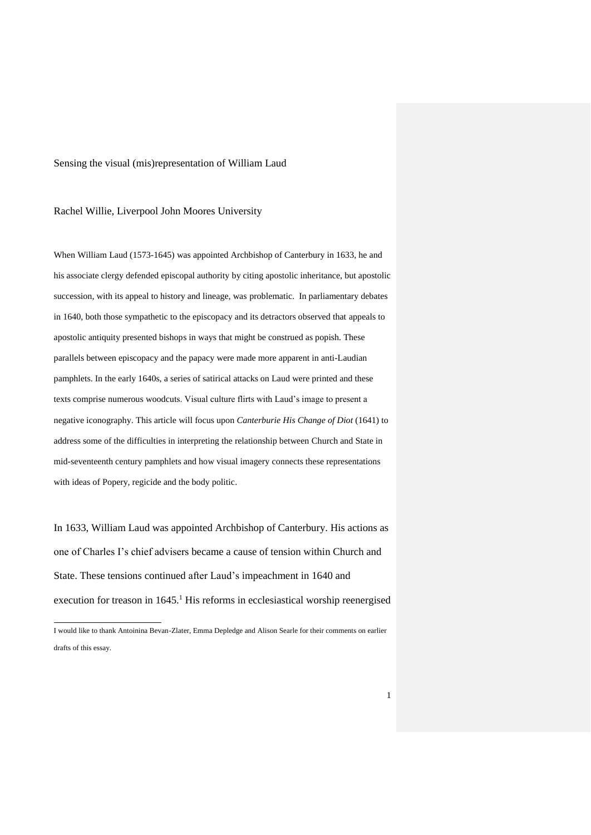#### Sensing the visual (mis)representation of William Laud

#### Rachel Willie, Liverpool John Moores University

When William Laud (1573-1645) was appointed Archbishop of Canterbury in 1633, he and his associate clergy defended episcopal authority by citing apostolic inheritance, but apostolic succession, with its appeal to history and lineage, was problematic. In parliamentary debates in 1640, both those sympathetic to the episcopacy and its detractors observed that appeals to apostolic antiquity presented bishops in ways that might be construed as popish. These parallels between episcopacy and the papacy were made more apparent in anti-Laudian pamphlets. In the early 1640s, a series of satirical attacks on Laud were printed and these texts comprise numerous woodcuts. Visual culture flirts with Laud's image to present a negative iconography. This article will focus upon *Canterburie His Change of Diot* (1641) to address some of the difficulties in interpreting the relationship between Church and State in mid-seventeenth century pamphlets and how visual imagery connects these representations with ideas of Popery, regicide and the body politic.

In 1633, William Laud was appointed Archbishop of Canterbury. His actions as one of Charles I's chief advisers became a cause of tension within Church and State. These tensions continued after Laud's impeachment in 1640 and execution for treason in 1645.<sup>1</sup> His reforms in ecclesiastical worship reenergised

I would like to thank Antoinina Bevan-Zlater, Emma Depledge and Alison Searle for their comments on earlier drafts of this essay.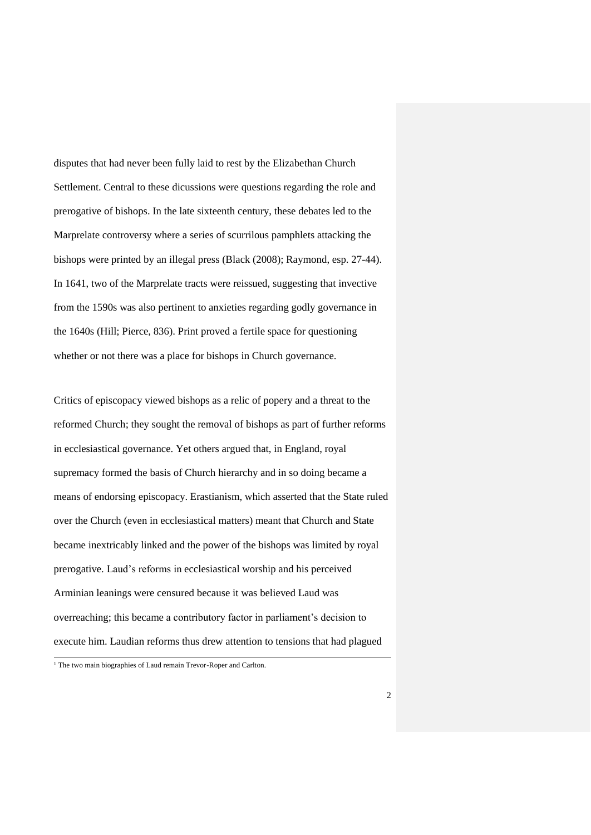disputes that had never been fully laid to rest by the Elizabethan Church Settlement. Central to these dicussions were questions regarding the role and prerogative of bishops. In the late sixteenth century, these debates led to the Marprelate controversy where a series of scurrilous pamphlets attacking the bishops were printed by an illegal press (Black (2008); Raymond, esp. 27-44). In 1641, two of the Marprelate tracts were reissued, suggesting that invective from the 1590s was also pertinent to anxieties regarding godly governance in the 1640s (Hill; Pierce, 836). Print proved a fertile space for questioning whether or not there was a place for bishops in Church governance.

Critics of episcopacy viewed bishops as a relic of popery and a threat to the reformed Church; they sought the removal of bishops as part of further reforms in ecclesiastical governance. Yet others argued that, in England, royal supremacy formed the basis of Church hierarchy and in so doing became a means of endorsing episcopacy. Erastianism, which asserted that the State ruled over the Church (even in ecclesiastical matters) meant that Church and State became inextricably linked and the power of the bishops was limited by royal prerogative. Laud's reforms in ecclesiastical worship and his perceived Arminian leanings were censured because it was believed Laud was overreaching; this became a contributory factor in parliament's decision to execute him. Laudian reforms thus drew attention to tensions that had plagued

<sup>&</sup>lt;sup>1</sup> The two main biographies of Laud remain Trevor-Roper and Carlton.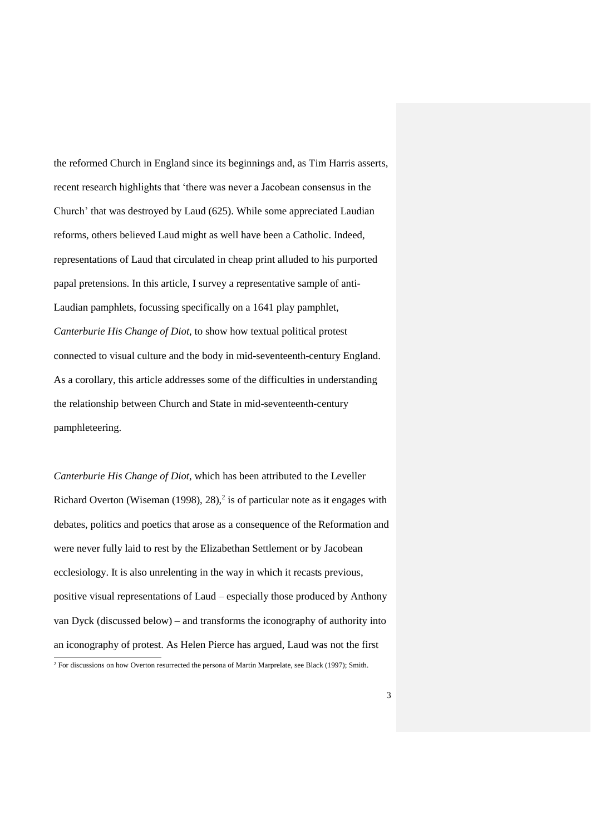the reformed Church in England since its beginnings and, as Tim Harris asserts, recent research highlights that 'there was never a Jacobean consensus in the Church' that was destroyed by Laud (625). While some appreciated Laudian reforms, others believed Laud might as well have been a Catholic. Indeed, representations of Laud that circulated in cheap print alluded to his purported papal pretensions. In this article, I survey a representative sample of anti-Laudian pamphlets, focussing specifically on a 1641 play pamphlet, *Canterburie His Change of Diot*, to show how textual political protest connected to visual culture and the body in mid-seventeenth-century England. As a corollary, this article addresses some of the difficulties in understanding the relationship between Church and State in mid-seventeenth-century pamphleteering.

*Canterburie His Change of Diot*, which has been attributed to the Leveller Richard Overton (Wiseman (1998),  $28$ ),<sup>2</sup> is of particular note as it engages with debates, politics and poetics that arose as a consequence of the Reformation and were never fully laid to rest by the Elizabethan Settlement or by Jacobean ecclesiology. It is also unrelenting in the way in which it recasts previous, positive visual representations of Laud – especially those produced by Anthony van Dyck (discussed below) – and transforms the iconography of authority into an iconography of protest. As Helen Pierce has argued, Laud was not the first  $\overline{a}$ 

<sup>&</sup>lt;sup>2</sup> For discussions on how Overton resurrected the persona of Martin Marprelate, see Black (1997); Smith.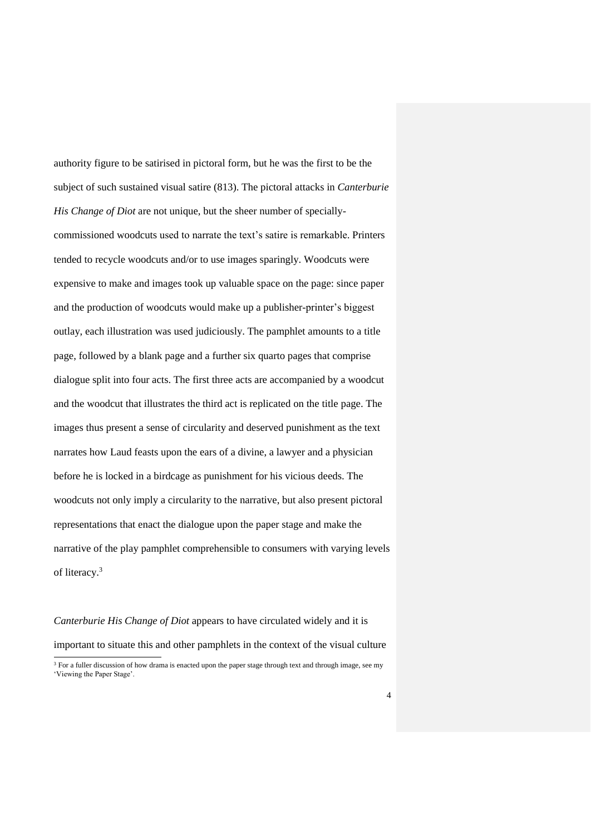authority figure to be satirised in pictoral form, but he was the first to be the subject of such sustained visual satire (813). The pictoral attacks in *Canterburie His Change of Diot* are not unique, but the sheer number of speciallycommissioned woodcuts used to narrate the text's satire is remarkable. Printers tended to recycle woodcuts and/or to use images sparingly. Woodcuts were expensive to make and images took up valuable space on the page: since paper and the production of woodcuts would make up a publisher-printer's biggest outlay, each illustration was used judiciously. The pamphlet amounts to a title page, followed by a blank page and a further six quarto pages that comprise dialogue split into four acts. The first three acts are accompanied by a woodcut and the woodcut that illustrates the third act is replicated on the title page. The images thus present a sense of circularity and deserved punishment as the text narrates how Laud feasts upon the ears of a divine, a lawyer and a physician before he is locked in a birdcage as punishment for his vicious deeds. The woodcuts not only imply a circularity to the narrative, but also present pictoral representations that enact the dialogue upon the paper stage and make the narrative of the play pamphlet comprehensible to consumers with varying levels of literacy. 3

*Canterburie His Change of Diot* appears to have circulated widely and it is important to situate this and other pamphlets in the context of the visual culture  $\overline{a}$ 

<sup>&</sup>lt;sup>3</sup> For a fuller discussion of how drama is enacted upon the paper stage through text and through image, see my 'Viewing the Paper Stage'.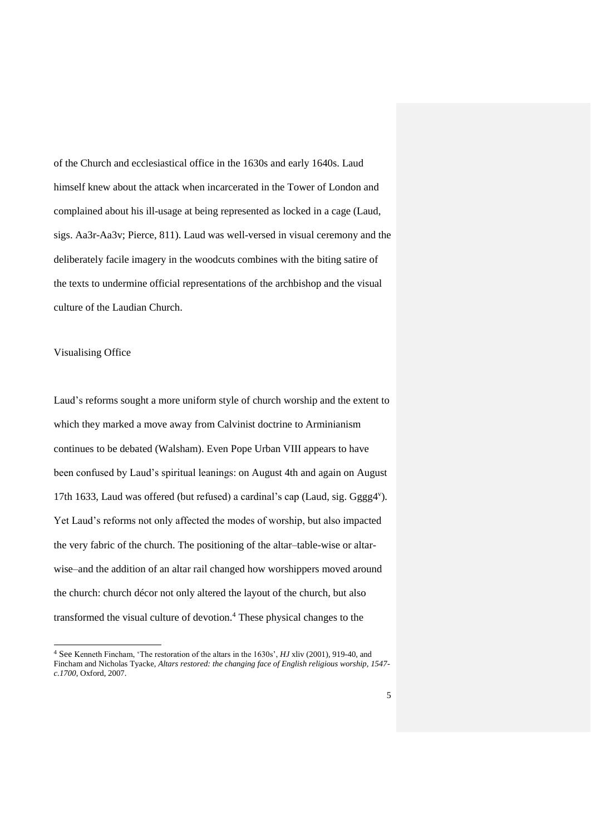of the Church and ecclesiastical office in the 1630s and early 1640s. Laud himself knew about the attack when incarcerated in the Tower of London and complained about his ill-usage at being represented as locked in a cage (Laud, sigs. Aa3r-Aa3v; Pierce, 811). Laud was well-versed in visual ceremony and the deliberately facile imagery in the woodcuts combines with the biting satire of the texts to undermine official representations of the archbishop and the visual culture of the Laudian Church.

#### Visualising Office

 $\overline{a}$ 

Laud's reforms sought a more uniform style of church worship and the extent to which they marked a move away from Calvinist doctrine to Arminianism continues to be debated (Walsham). Even Pope Urban VIII appears to have been confused by Laud's spiritual leanings: on August 4th and again on August 17th 1633, Laud was offered (but refused) a cardinal's cap (Laud, sig. Gggg4"). Yet Laud's reforms not only affected the modes of worship, but also impacted the very fabric of the church. The positioning of the altar–table-wise or altarwise–and the addition of an altar rail changed how worshippers moved around the church: church décor not only altered the layout of the church, but also transformed the visual culture of devotion.<sup>4</sup> These physical changes to the

<sup>4</sup> See Kenneth Fincham, 'The restoration of the altars in the 1630s', *HJ* xliv (2001), 919-40, and Fincham and Nicholas Tyacke, *Altars restored: the changing face of English religious worship, 1547 c.1700*, Oxford, 2007.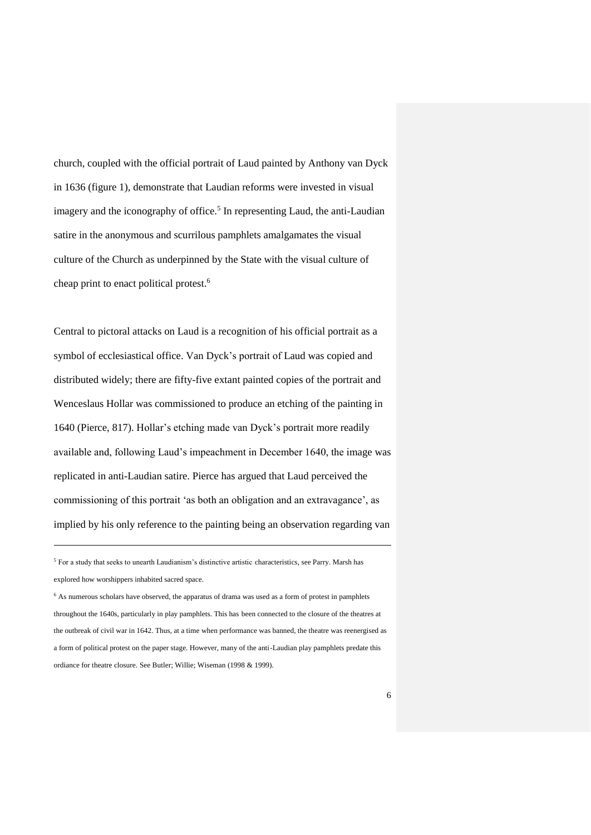church, coupled with the official portrait of Laud painted by Anthony van Dyck in 1636 (figure 1), demonstrate that Laudian reforms were invested in visual imagery and the iconography of office.<sup>5</sup> In representing Laud, the anti-Laudian satire in the anonymous and scurrilous pamphlets amalgamates the visual culture of the Church as underpinned by the State with the visual culture of cheap print to enact political protest.<sup>6</sup>

Central to pictoral attacks on Laud is a recognition of his official portrait as a symbol of ecclesiastical office. Van Dyck's portrait of Laud was copied and distributed widely; there are fifty-five extant painted copies of the portrait and Wenceslaus Hollar was commissioned to produce an etching of the painting in 1640 (Pierce, 817). Hollar's etching made van Dyck's portrait more readily available and, following Laud's impeachment in December 1640, the image was replicated in anti-Laudian satire. Pierce has argued that Laud perceived the commissioning of this portrait 'as both an obligation and an extravagance', as implied by his only reference to the painting being an observation regarding van

<sup>&</sup>lt;sup>5</sup> For a study that seeks to unearth Laudianism's distinctive artistic characteristics, see Parry. Marsh has explored how worshippers inhabited sacred space.

<sup>&</sup>lt;sup>6</sup> As numerous scholars have observed, the apparatus of drama was used as a form of protest in pamphlets throughout the 1640s, particularly in play pamphlets. This has been connected to the closure of the theatres at the outbreak of civil war in 1642. Thus, at a time when performance was banned, the theatre was reenergised as a form of political protest on the paper stage. However, many of the anti-Laudian play pamphlets predate this ordiance for theatre closure. See Butler; Willie; Wiseman (1998 & 1999).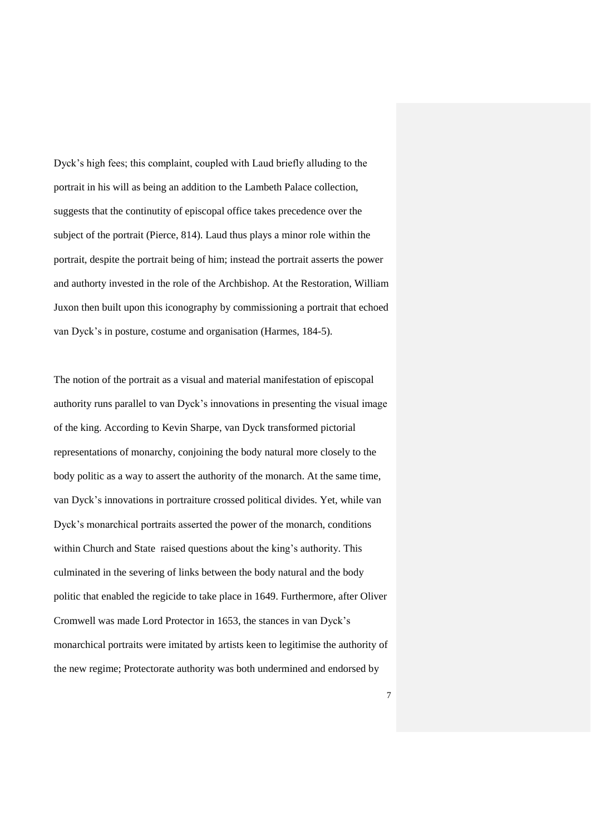Dyck's high fees; this complaint, coupled with Laud briefly alluding to the portrait in his will as being an addition to the Lambeth Palace collection, suggests that the continutity of episcopal office takes precedence over the subject of the portrait (Pierce, 814). Laud thus plays a minor role within the portrait, despite the portrait being of him; instead the portrait asserts the power and authorty invested in the role of the Archbishop. At the Restoration, William Juxon then built upon this iconography by commissioning a portrait that echoed van Dyck's in posture, costume and organisation (Harmes, 184-5).

The notion of the portrait as a visual and material manifestation of episcopal authority runs parallel to van Dyck's innovations in presenting the visual image of the king. According to Kevin Sharpe, van Dyck transformed pictorial representations of monarchy, conjoining the body natural more closely to the body politic as a way to assert the authority of the monarch. At the same time, van Dyck's innovations in portraiture crossed political divides. Yet, while van Dyck's monarchical portraits asserted the power of the monarch, conditions within Church and State raised questions about the king's authority. This culminated in the severing of links between the body natural and the body politic that enabled the regicide to take place in 1649. Furthermore, after Oliver Cromwell was made Lord Protector in 1653, the stances in van Dyck's monarchical portraits were imitated by artists keen to legitimise the authority of the new regime; Protectorate authority was both undermined and endorsed by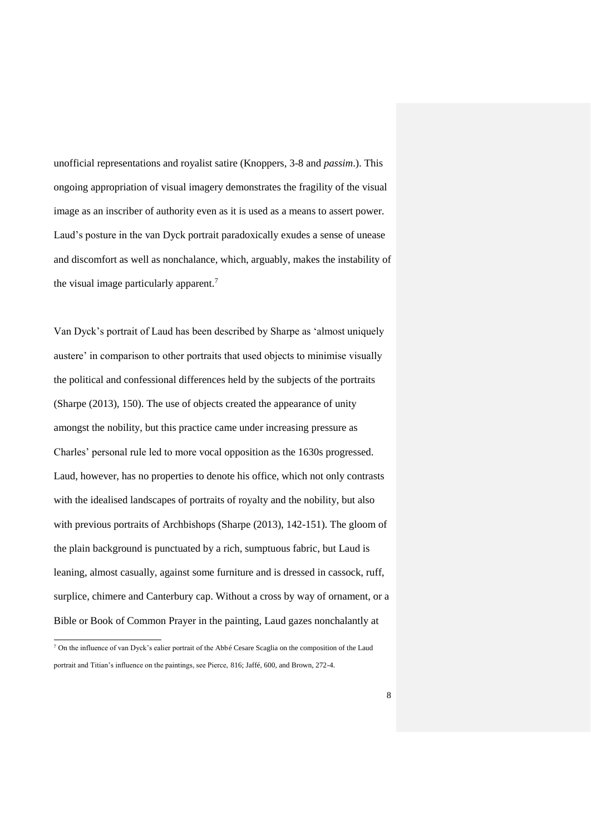unofficial representations and royalist satire (Knoppers, 3-8 and *passim*.). This ongoing appropriation of visual imagery demonstrates the fragility of the visual image as an inscriber of authority even as it is used as a means to assert power. Laud's posture in the van Dyck portrait paradoxically exudes a sense of unease and discomfort as well as nonchalance, which, arguably, makes the instability of the visual image particularly apparent.<sup>7</sup>

Van Dyck's portrait of Laud has been described by Sharpe as 'almost uniquely austere' in comparison to other portraits that used objects to minimise visually the political and confessional differences held by the subjects of the portraits (Sharpe (2013), 150). The use of objects created the appearance of unity amongst the nobility, but this practice came under increasing pressure as Charles' personal rule led to more vocal opposition as the 1630s progressed. Laud, however, has no properties to denote his office, which not only contrasts with the idealised landscapes of portraits of royalty and the nobility, but also with previous portraits of Archbishops (Sharpe (2013), 142-151). The gloom of the plain background is punctuated by a rich, sumptuous fabric, but Laud is leaning, almost casually, against some furniture and is dressed in cassock, ruff, surplice, chimere and Canterbury cap. Without a cross by way of ornament, or a Bible or Book of Common Prayer in the painting, Laud gazes nonchalantly at

 $7$  On the influence of van Dyck's ealier portrait of the Abbé Cesare Scaglia on the composition of the Laud portrait and Titian's influence on the paintings, see Pierce, 816; Jaffé, 600, and Brown, 272-4.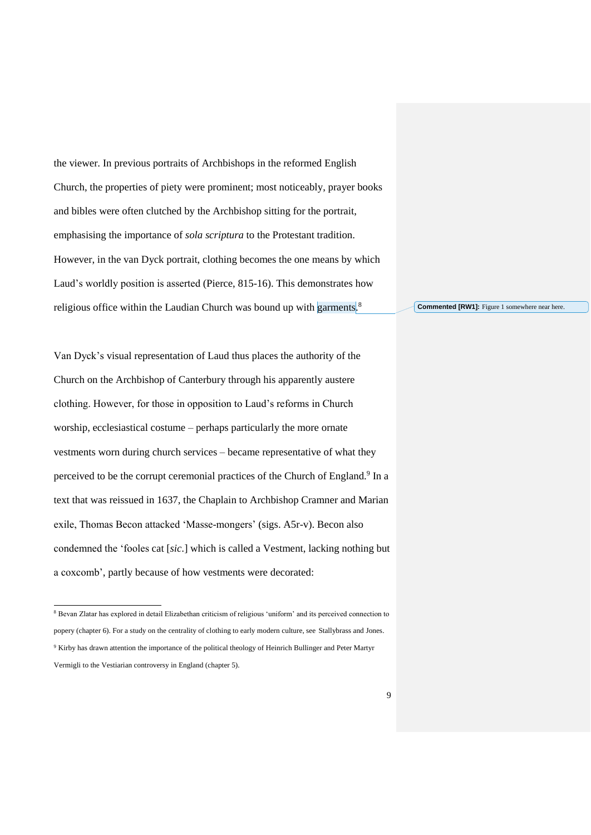the viewer. In previous portraits of Archbishops in the reformed English Church, the properties of piety were prominent; most noticeably, prayer books and bibles were often clutched by the Archbishop sitting for the portrait, emphasising the importance of *sola scriptura* to the Protestant tradition. However, in the van Dyck portrait, clothing becomes the one means by which Laud's worldly position is asserted (Pierce, 815-16). This demonstrates how religious office within the Laudian Church was bound up with garments.<sup>8</sup>

Van Dyck's visual representation of Laud thus places the authority of the Church on the Archbishop of Canterbury through his apparently austere clothing. However, for those in opposition to Laud's reforms in Church worship, ecclesiastical costume – perhaps particularly the more ornate vestments worn during church services – became representative of what they perceived to be the corrupt ceremonial practices of the Church of England.<sup>9</sup> In a text that was reissued in 1637, the Chaplain to Archbishop Cramner and Marian exile, Thomas Becon attacked 'Masse-mongers' (sigs. A5r-v). Becon also condemned the 'fooles cat [*sic*.] which is called a Vestment, lacking nothing but a coxcomb', partly because of how vestments were decorated:

 $\overline{a}$ 

**Commented [RW1]:** Figure 1 somewhere near here.

<sup>8</sup> Bevan Zlatar has explored in detail Elizabethan criticism of religious 'uniform' and its perceived connection to popery (chapter 6). For a study on the centrality of clothing to early modern culture, see Stallybrass and Jones. <sup>9</sup> Kirby has drawn attention the importance of the political theology of Heinrich Bullinger and Peter Martyr Vermigli to the Vestiarian controversy in England (chapter 5).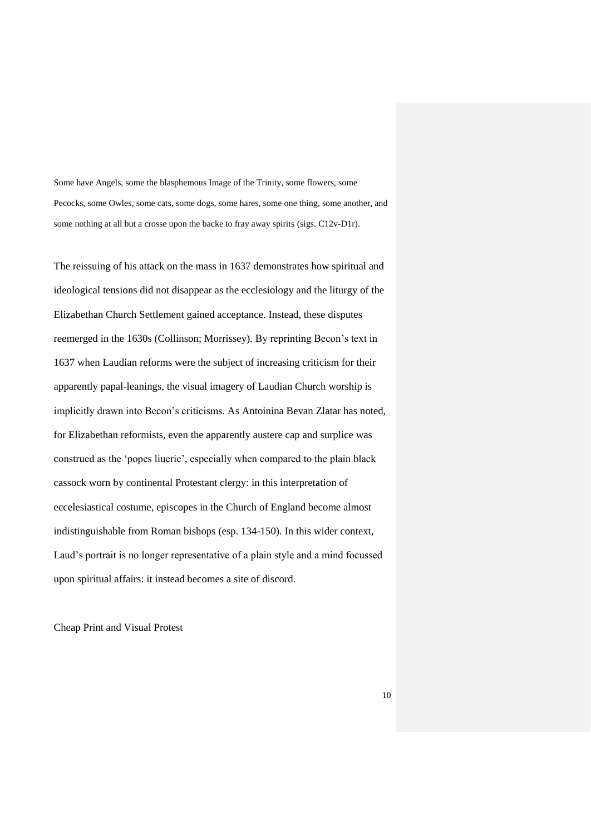Some have Angels, some the blasphemous Image of the Trinity, some flowers, some Pecocks, some Owles, some cats, some dogs, some hares, some one thing, some another, and some nothing at all but a crosse upon the backe to fray away spirits (sigs. C12v-D1r).

The reissuing of his attack on the mass in 1637 demonstrates how spiritual and ideological tensions did not disappear as the ecclesiology and the liturgy of the Elizabethan Church Settlement gained acceptance. Instead, these disputes reemerged in the 1630s (Collinson; Morrissey). By reprinting Becon's text in 1637 when Laudian reforms were the subject of increasing criticism for their apparently papal-leanings, the visual imagery of Laudian Church worship is implicitly drawn into Becon's criticisms. As Antoinina Bevan Zlatar has noted, for Elizabethan reformists, even the apparently austere cap and surplice was construed as the 'popes liuerie', especially when compared to the plain black cassock worn by continental Protestant clergy: in this interpretation of eccelesiastical costume, episcopes in the Church of England become almost indistinguishable from Roman bishops (esp. 134-150). In this wider context, Laud's portrait is no longer representative of a plain style and a mind focussed upon spiritual affairs: it instead becomes a site of discord.

Cheap Print and Visual Protest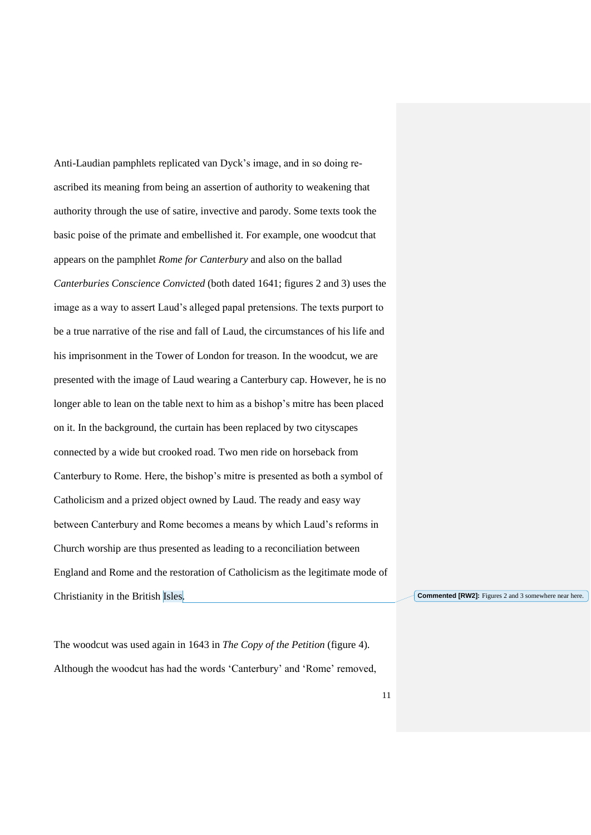Anti-Laudian pamphlets replicated van Dyck's image, and in so doing reascribed its meaning from being an assertion of authority to weakening that authority through the use of satire, invective and parody. Some texts took the basic poise of the primate and embellished it. For example, one woodcut that appears on the pamphlet *Rome for Canterbury* and also on the ballad *Canterburies Conscience Convicted* (both dated 1641; figures 2 and 3) uses the image as a way to assert Laud's alleged papal pretensions. The texts purport to be a true narrative of the rise and fall of Laud, the circumstances of his life and his imprisonment in the Tower of London for treason. In the woodcut, we are presented with the image of Laud wearing a Canterbury cap. However, he is no longer able to lean on the table next to him as a bishop's mitre has been placed on it. In the background, the curtain has been replaced by two cityscapes connected by a wide but crooked road. Two men ride on horseback from Canterbury to Rome. Here, the bishop's mitre is presented as both a symbol of Catholicism and a prized object owned by Laud. The ready and easy way between Canterbury and Rome becomes a means by which Laud's reforms in Church worship are thus presented as leading to a reconciliation between England and Rome and the restoration of Catholicism as the legitimate mode of Christianity in the British Isles.

**Commented [RW2]:** Figures 2 and 3 somewhere near here.

The woodcut was used again in 1643 in *The Copy of the Petition* (figure 4). Although the woodcut has had the words 'Canterbury' and 'Rome' removed,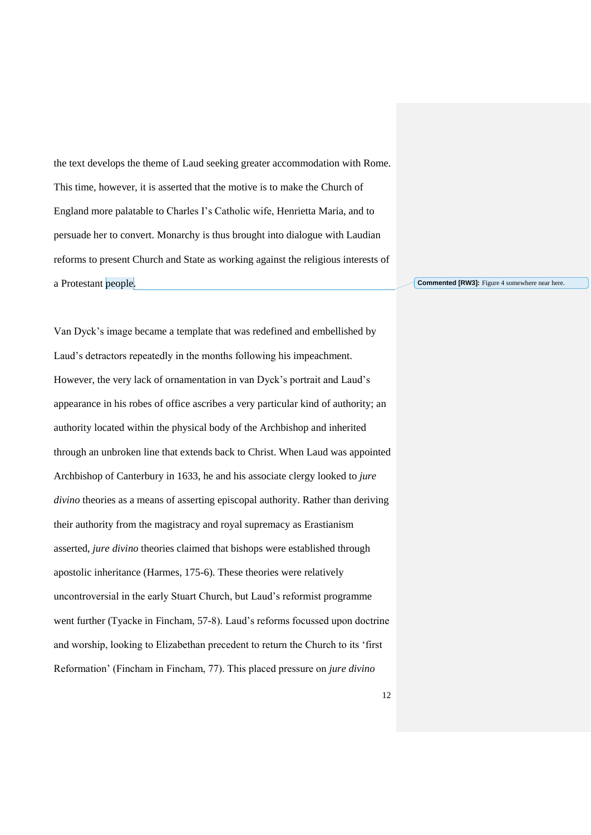the text develops the theme of Laud seeking greater accommodation with Rome. This time, however, it is asserted that the motive is to make the Church of England more palatable to Charles I's Catholic wife, Henrietta Maria, and to persuade her to convert. Monarchy is thus brought into dialogue with Laudian reforms to present Church and State as working against the religious interests of a Protestant people.

Van Dyck's image became a template that was redefined and embellished by Laud's detractors repeatedly in the months following his impeachment. However, the very lack of ornamentation in van Dyck's portrait and Laud's appearance in his robes of office ascribes a very particular kind of authority; an authority located within the physical body of the Archbishop and inherited through an unbroken line that extends back to Christ. When Laud was appointed Archbishop of Canterbury in 1633, he and his associate clergy looked to *jure divino* theories as a means of asserting episcopal authority. Rather than deriving their authority from the magistracy and royal supremacy as Erastianism asserted, *jure divino* theories claimed that bishops were established through apostolic inheritance (Harmes, 175-6). These theories were relatively uncontroversial in the early Stuart Church, but Laud's reformist programme went further (Tyacke in Fincham, 57-8). Laud's reforms focussed upon doctrine and worship, looking to Elizabethan precedent to return the Church to its 'first Reformation' (Fincham in Fincham, 77). This placed pressure on *jure divino* 

**Commented [RW3]:** Figure 4 somewhere near here.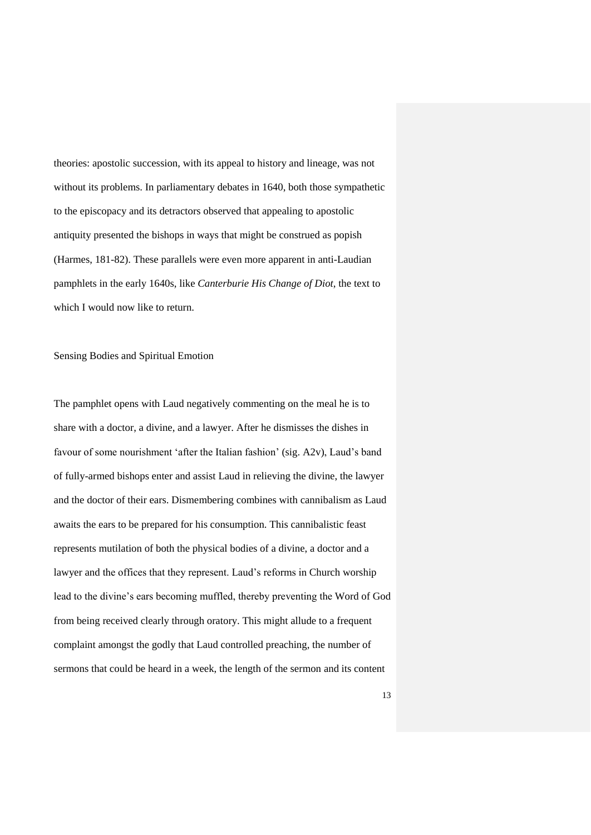theories: apostolic succession, with its appeal to history and lineage, was not without its problems. In parliamentary debates in 1640, both those sympathetic to the episcopacy and its detractors observed that appealing to apostolic antiquity presented the bishops in ways that might be construed as popish (Harmes, 181-82). These parallels were even more apparent in anti-Laudian pamphlets in the early 1640s, like *Canterburie His Change of Diot*, the text to which I would now like to return.

Sensing Bodies and Spiritual Emotion

The pamphlet opens with Laud negatively commenting on the meal he is to share with a doctor, a divine, and a lawyer. After he dismisses the dishes in favour of some nourishment 'after the Italian fashion' (sig. A2v), Laud's band of fully-armed bishops enter and assist Laud in relieving the divine, the lawyer and the doctor of their ears. Dismembering combines with cannibalism as Laud awaits the ears to be prepared for his consumption. This cannibalistic feast represents mutilation of both the physical bodies of a divine, a doctor and a lawyer and the offices that they represent. Laud's reforms in Church worship lead to the divine's ears becoming muffled, thereby preventing the Word of God from being received clearly through oratory. This might allude to a frequent complaint amongst the godly that Laud controlled preaching, the number of sermons that could be heard in a week, the length of the sermon and its content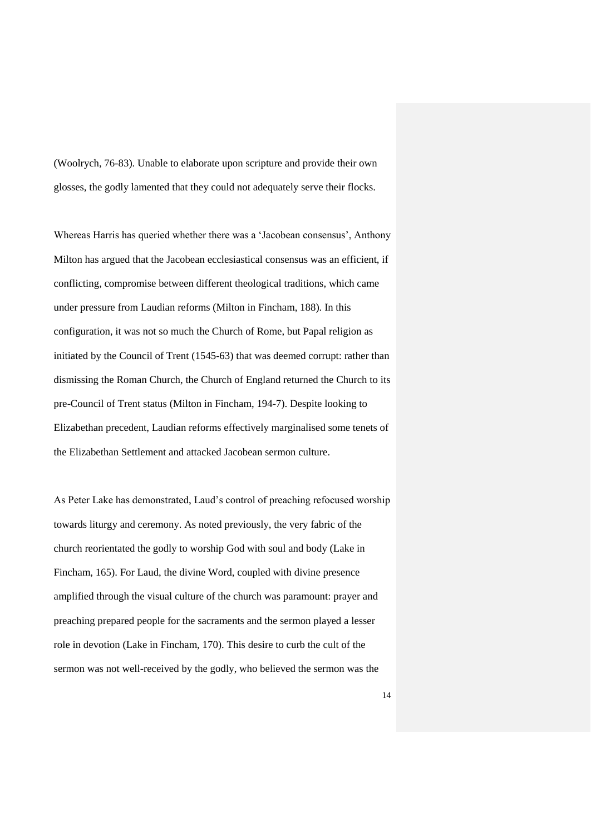(Woolrych, 76-83). Unable to elaborate upon scripture and provide their own glosses, the godly lamented that they could not adequately serve their flocks.

Whereas Harris has queried whether there was a 'Jacobean consensus', Anthony Milton has argued that the Jacobean ecclesiastical consensus was an efficient, if conflicting, compromise between different theological traditions, which came under pressure from Laudian reforms (Milton in Fincham, 188). In this configuration, it was not so much the Church of Rome, but Papal religion as initiated by the Council of Trent (1545-63) that was deemed corrupt: rather than dismissing the Roman Church, the Church of England returned the Church to its pre-Council of Trent status (Milton in Fincham, 194-7). Despite looking to Elizabethan precedent, Laudian reforms effectively marginalised some tenets of the Elizabethan Settlement and attacked Jacobean sermon culture.

As Peter Lake has demonstrated, Laud's control of preaching refocused worship towards liturgy and ceremony. As noted previously, the very fabric of the church reorientated the godly to worship God with soul and body (Lake in Fincham, 165). For Laud, the divine Word, coupled with divine presence amplified through the visual culture of the church was paramount: prayer and preaching prepared people for the sacraments and the sermon played a lesser role in devotion (Lake in Fincham, 170). This desire to curb the cult of the sermon was not well-received by the godly, who believed the sermon was the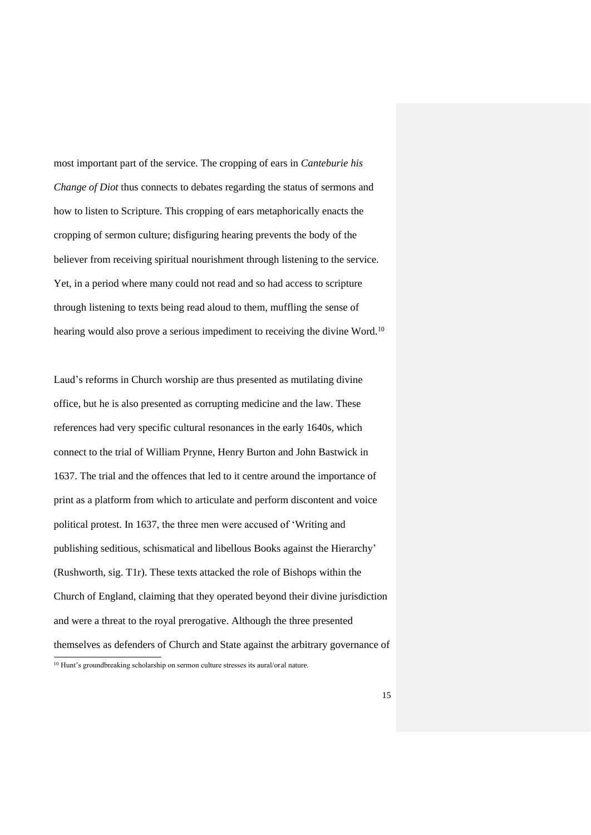most important part of the service. The cropping of ears in *Canteburie his Change of Diot* thus connects to debates regarding the status of sermons and how to listen to Scripture. This cropping of ears metaphorically enacts the cropping of sermon culture; disfiguring hearing prevents the body of the believer from receiving spiritual nourishment through listening to the service. Yet, in a period where many could not read and so had access to scripture through listening to texts being read aloud to them, muffling the sense of hearing would also prove a serious impediment to receiving the divine Word.<sup>10</sup>

Laud's reforms in Church worship are thus presented as mutilating divine office, but he is also presented as corrupting medicine and the law. These references had very specific cultural resonances in the early 1640s, which connect to the trial of William Prynne, Henry Burton and John Bastwick in 1637. The trial and the offences that led to it centre around the importance of print as a platform from which to articulate and perform discontent and voice political protest. In 1637, the three men were accused of 'Writing and publishing seditious, schismatical and libellous Books against the Hierarchy' (Rushworth, sig. T1r). These texts attacked the role of Bishops within the Church of England, claiming that they operated beyond their divine jurisdiction and were a threat to the royal prerogative. Although the three presented themselves as defenders of Church and State against the arbitrary governance of  $\overline{a}$ 

<sup>10</sup> Hunt's groundbreaking scholarship on sermon culture stresses its aural/oral nature.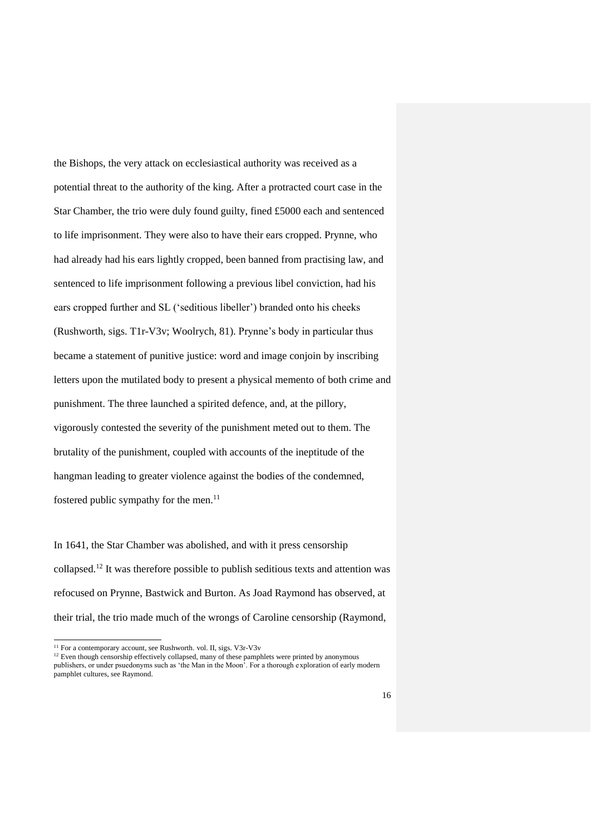the Bishops, the very attack on ecclesiastical authority was received as a potential threat to the authority of the king. After a protracted court case in the Star Chamber, the trio were duly found guilty, fined £5000 each and sentenced to life imprisonment. They were also to have their ears cropped. Prynne, who had already had his ears lightly cropped, been banned from practising law, and sentenced to life imprisonment following a previous libel conviction, had his ears cropped further and SL ('seditious libeller') branded onto his cheeks (Rushworth, sigs. T1r-V3v; Woolrych, 81). Prynne's body in particular thus became a statement of punitive justice: word and image conjoin by inscribing letters upon the mutilated body to present a physical memento of both crime and punishment. The three launched a spirited defence, and, at the pillory, vigorously contested the severity of the punishment meted out to them. The brutality of the punishment, coupled with accounts of the ineptitude of the hangman leading to greater violence against the bodies of the condemned, fostered public sympathy for the men. $^{11}$ 

In 1641, the Star Chamber was abolished, and with it press censorship collapsed. <sup>12</sup> It was therefore possible to publish seditious texts and attention was refocused on Prynne, Bastwick and Burton. As Joad Raymond has observed, at their trial, the trio made much of the wrongs of Caroline censorship (Raymond,

<sup>11</sup> For a contemporary account, see Rushworth*.* vol. II, sigs. V3r-V3v

<sup>&</sup>lt;sup>12</sup> Even though censorship effectively collapsed, many of these pamphlets were printed by anonymous publishers, or under psuedonyms such as 'the Man in the Moon'. For a thorough exploration of early modern pamphlet cultures, see Raymond.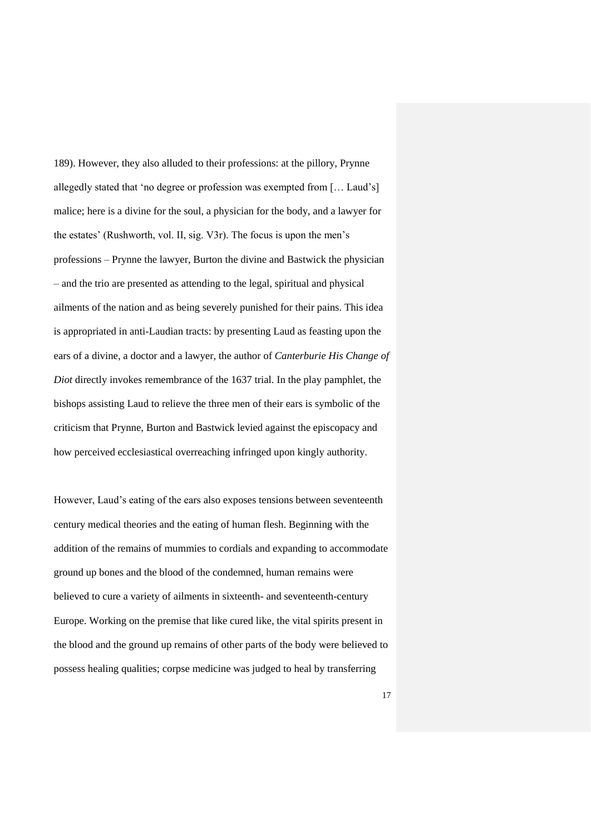189). However, they also alluded to their professions: at the pillory, Prynne allegedly stated that 'no degree or profession was exempted from [… Laud's] malice; here is a divine for the soul, a physician for the body, and a lawyer for the estates' (Rushworth, vol. II, sig. V3r). The focus is upon the men's professions – Prynne the lawyer, Burton the divine and Bastwick the physician – and the trio are presented as attending to the legal, spiritual and physical ailments of the nation and as being severely punished for their pains. This idea is appropriated in anti-Laudian tracts: by presenting Laud as feasting upon the ears of a divine, a doctor and a lawyer, the author of *Canterburie His Change of Diot* directly invokes remembrance of the 1637 trial. In the play pamphlet, the bishops assisting Laud to relieve the three men of their ears is symbolic of the criticism that Prynne, Burton and Bastwick levied against the episcopacy and how perceived ecclesiastical overreaching infringed upon kingly authority.

However, Laud's eating of the ears also exposes tensions between seventeenth century medical theories and the eating of human flesh. Beginning with the addition of the remains of mummies to cordials and expanding to accommodate ground up bones and the blood of the condemned, human remains were believed to cure a variety of ailments in sixteenth- and seventeenth-century Europe. Working on the premise that like cured like, the vital spirits present in the blood and the ground up remains of other parts of the body were believed to possess healing qualities; corpse medicine was judged to heal by transferring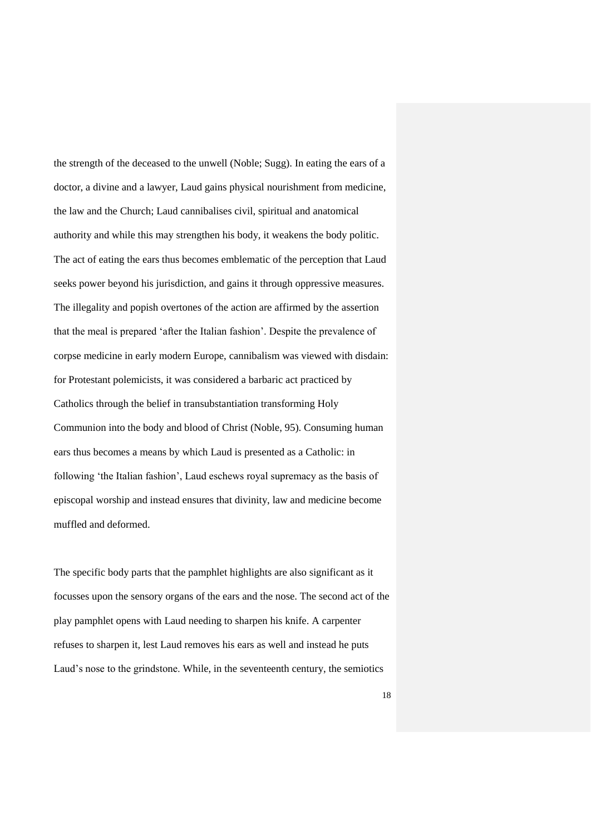the strength of the deceased to the unwell (Noble; Sugg). In eating the ears of a doctor, a divine and a lawyer, Laud gains physical nourishment from medicine, the law and the Church; Laud cannibalises civil, spiritual and anatomical authority and while this may strengthen his body, it weakens the body politic. The act of eating the ears thus becomes emblematic of the perception that Laud seeks power beyond his jurisdiction, and gains it through oppressive measures. The illegality and popish overtones of the action are affirmed by the assertion that the meal is prepared 'after the Italian fashion'. Despite the prevalence of corpse medicine in early modern Europe, cannibalism was viewed with disdain: for Protestant polemicists, it was considered a barbaric act practiced by Catholics through the belief in transubstantiation transforming Holy Communion into the body and blood of Christ (Noble, 95). Consuming human ears thus becomes a means by which Laud is presented as a Catholic: in following 'the Italian fashion', Laud eschews royal supremacy as the basis of episcopal worship and instead ensures that divinity, law and medicine become muffled and deformed.

The specific body parts that the pamphlet highlights are also significant as it focusses upon the sensory organs of the ears and the nose. The second act of the play pamphlet opens with Laud needing to sharpen his knife. A carpenter refuses to sharpen it, lest Laud removes his ears as well and instead he puts Laud's nose to the grindstone. While, in the seventeenth century, the semiotics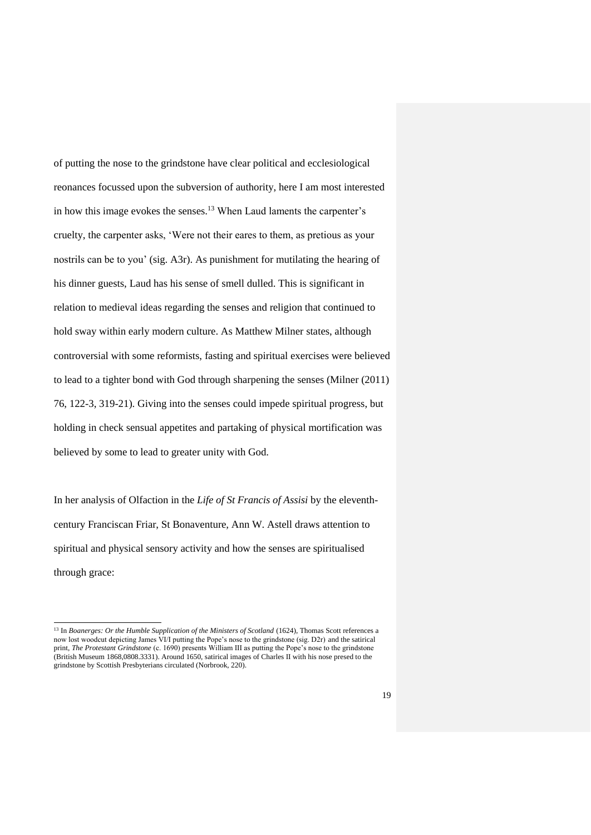of putting the nose to the grindstone have clear political and ecclesiological reonances focussed upon the subversion of authority, here I am most interested in how this image evokes the senses. <sup>13</sup> When Laud laments the carpenter's cruelty, the carpenter asks, 'Were not their eares to them, as pretious as your nostrils can be to you' (sig. A3r). As punishment for mutilating the hearing of his dinner guests, Laud has his sense of smell dulled. This is significant in relation to medieval ideas regarding the senses and religion that continued to hold sway within early modern culture. As Matthew Milner states, although controversial with some reformists, fasting and spiritual exercises were believed to lead to a tighter bond with God through sharpening the senses (Milner (2011) 76, 122-3, 319-21). Giving into the senses could impede spiritual progress, but holding in check sensual appetites and partaking of physical mortification was believed by some to lead to greater unity with God.

In her analysis of Olfaction in the *Life of St Francis of Assisi* by the eleventhcentury Franciscan Friar, St Bonaventure*,* Ann W. Astell draws attention to spiritual and physical sensory activity and how the senses are spiritualised through grace:

<sup>&</sup>lt;sup>13</sup> In *Boanerges: Or the Humble Supplication of the Ministers of Scotland* (1624), Thomas Scott references a now lost woodcut depicting James VI/I putting the Pope's nose to the grindstone (sig. D2r) and the satirical print, *The Protestant Grindstone* (c. 1690) presents William III as putting the Pope's nose to the grindstone (British Museum 1868,0808.3331). Around 1650, satirical images of Charles II with his nose presed to the grindstone by Scottish Presbyterians circulated (Norbrook, 220).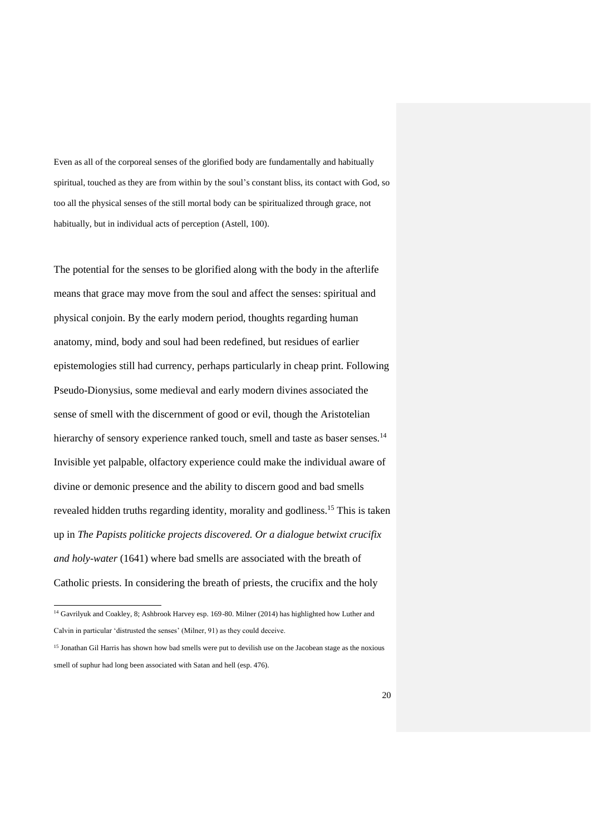Even as all of the corporeal senses of the glorified body are fundamentally and habitually spiritual, touched as they are from within by the soul's constant bliss, its contact with God, so too all the physical senses of the still mortal body can be spiritualized through grace, not habitually, but in individual acts of perception (Astell, 100).

The potential for the senses to be glorified along with the body in the afterlife means that grace may move from the soul and affect the senses: spiritual and physical conjoin. By the early modern period, thoughts regarding human anatomy, mind, body and soul had been redefined, but residues of earlier epistemologies still had currency, perhaps particularly in cheap print. Following Pseudo-Dionysius, some medieval and early modern divines associated the sense of smell with the discernment of good or evil, though the Aristotelian hierarchy of sensory experience ranked touch, smell and taste as baser senses.<sup>14</sup> Invisible yet palpable, olfactory experience could make the individual aware of divine or demonic presence and the ability to discern good and bad smells revealed hidden truths regarding identity, morality and godliness.<sup>15</sup> This is taken up in *The Papists politicke projects discovered. Or a dialogue betwixt crucifix and holy-water* (1641) where bad smells are associated with the breath of Catholic priests. In considering the breath of priests, the crucifix and the holy

<sup>14</sup> Gavrilyuk and Coakley, 8; Ashbrook Harvey esp. 169-80. Milner (2014) has highlighted how Luther and Calvin in particular 'distrusted the senses' (Milner, 91) as they could deceive.

<sup>&</sup>lt;sup>15</sup> Jonathan Gil Harris has shown how bad smells were put to devilish use on the Jacobean stage as the noxious smell of suphur had long been associated with Satan and hell (esp. 476).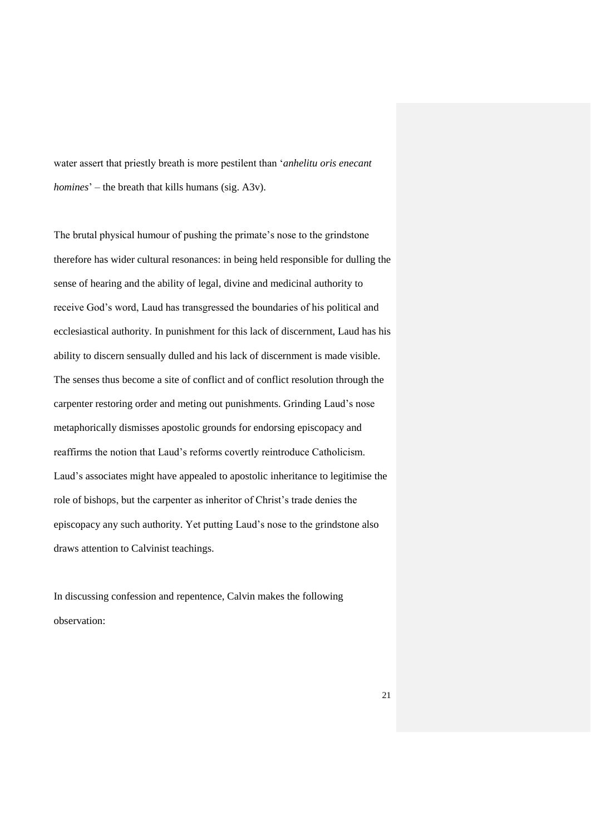water assert that priestly breath is more pestilent than '*anhelitu oris enecant homines*' – the breath that kills humans (sig. A3v).

The brutal physical humour of pushing the primate's nose to the grindstone therefore has wider cultural resonances: in being held responsible for dulling the sense of hearing and the ability of legal, divine and medicinal authority to receive God's word, Laud has transgressed the boundaries of his political and ecclesiastical authority. In punishment for this lack of discernment, Laud has his ability to discern sensually dulled and his lack of discernment is made visible. The senses thus become a site of conflict and of conflict resolution through the carpenter restoring order and meting out punishments. Grinding Laud's nose metaphorically dismisses apostolic grounds for endorsing episcopacy and reaffirms the notion that Laud's reforms covertly reintroduce Catholicism. Laud's associates might have appealed to apostolic inheritance to legitimise the role of bishops, but the carpenter as inheritor of Christ's trade denies the episcopacy any such authority. Yet putting Laud's nose to the grindstone also draws attention to Calvinist teachings.

In discussing confession and repentence, Calvin makes the following observation: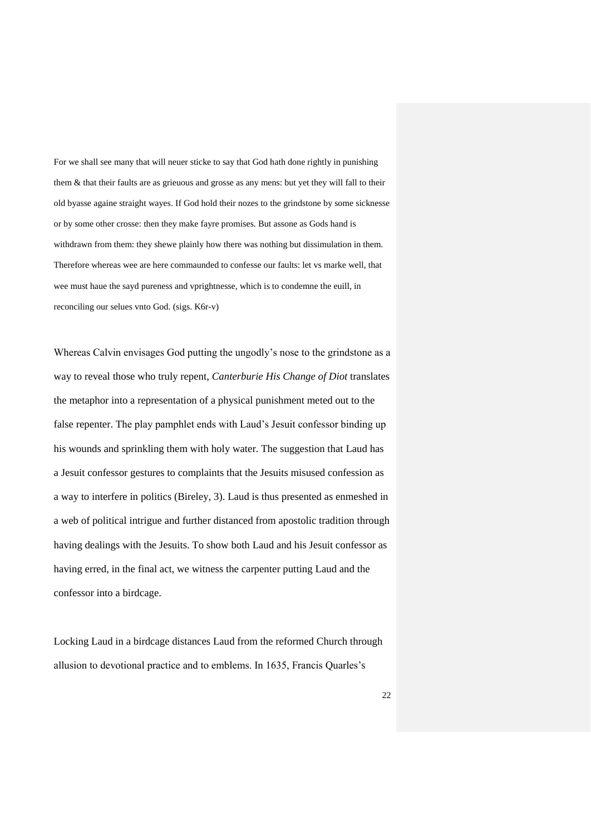For we shall see many that will neuer sticke to say that God hath done rightly in punishing them & that their faults are as grieuous and grosse as any mens: but yet they will fall to their old byasse againe straight wayes. If God hold their nozes to the grindstone by some sicknesse or by some other crosse: then they make fayre promises. But assone as Gods hand is withdrawn from them: they shewe plainly how there was nothing but dissimulation in them. Therefore whereas wee are here commaunded to confesse our faults: let vs marke well, that wee must haue the sayd pureness and vprightnesse, which is to condemne the euill, in reconciling our selues vnto God. (sigs. K6r-v)

Whereas Calvin envisages God putting the ungodly's nose to the grindstone as a way to reveal those who truly repent, *Canterburie His Change of Diot* translates the metaphor into a representation of a physical punishment meted out to the false repenter. The play pamphlet ends with Laud's Jesuit confessor binding up his wounds and sprinkling them with holy water. The suggestion that Laud has a Jesuit confessor gestures to complaints that the Jesuits misused confession as a way to interfere in politics (Bireley, 3). Laud is thus presented as enmeshed in a web of political intrigue and further distanced from apostolic tradition through having dealings with the Jesuits. To show both Laud and his Jesuit confessor as having erred, in the final act, we witness the carpenter putting Laud and the confessor into a birdcage.

Locking Laud in a birdcage distances Laud from the reformed Church through allusion to devotional practice and to emblems. In 1635, Francis Quarles's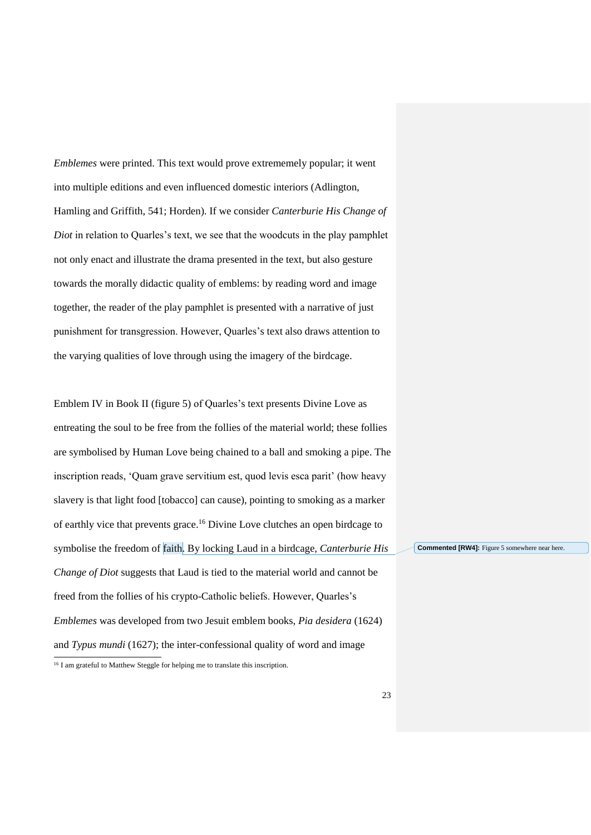*Emblemes* were printed. This text would prove extrememely popular; it went into multiple editions and even influenced domestic interiors (Adlington, Hamling and Griffith, 541; Horden). If we consider *Canterburie His Change of Diot* in relation to Quarles's text, we see that the woodcuts in the play pamphlet not only enact and illustrate the drama presented in the text, but also gesture towards the morally didactic quality of emblems: by reading word and image together, the reader of the play pamphlet is presented with a narrative of just punishment for transgression. However, Quarles's text also draws attention to the varying qualities of love through using the imagery of the birdcage.

Emblem IV in Book II (figure 5) of Quarles's text presents Divine Love as entreating the soul to be free from the follies of the material world; these follies are symbolised by Human Love being chained to a ball and smoking a pipe. The inscription reads, 'Quam grave servitium est, quod levis esca parit' (how heavy slavery is that light food [tobacco] can cause), pointing to smoking as a marker of earthly vice that prevents grace.<sup>16</sup> Divine Love clutches an open birdcage to symbolise the freedom of faith. By locking Laud in a birdcage, *Canterburie His Change of Diot* suggests that Laud is tied to the material world and cannot be freed from the follies of his crypto-Catholic beliefs. However, Quarles's *Emblemes* was developed from two Jesuit emblem books, *Pia desidera* (1624) and *Typus mundi* (1627); the inter-confessional quality of word and image  $\overline{a}$ 

**Commented [RW4]:** Figure 5 somewhere near here.

<sup>&</sup>lt;sup>16</sup> I am grateful to Matthew Steggle for helping me to translate this inscription.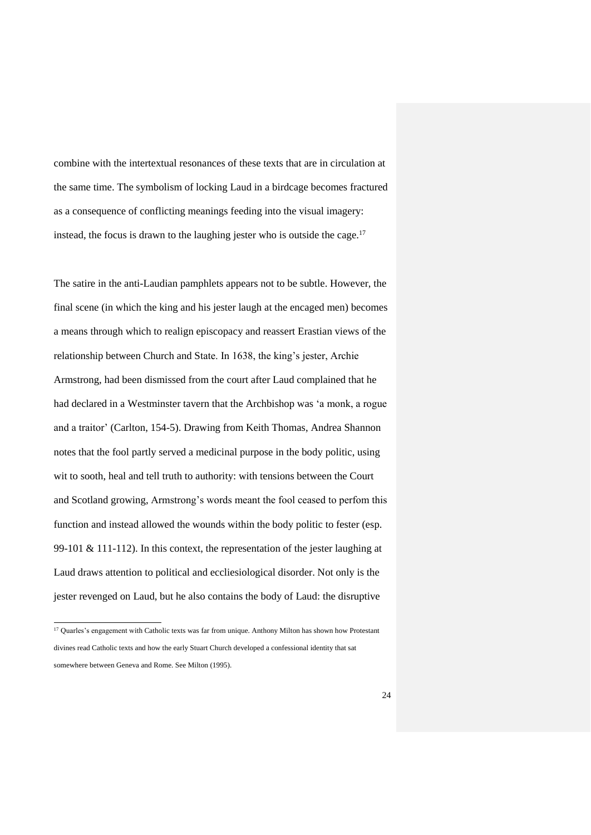combine with the intertextual resonances of these texts that are in circulation at the same time. The symbolism of locking Laud in a birdcage becomes fractured as a consequence of conflicting meanings feeding into the visual imagery: instead, the focus is drawn to the laughing jester who is outside the cage.<sup>17</sup>

The satire in the anti-Laudian pamphlets appears not to be subtle. However, the final scene (in which the king and his jester laugh at the encaged men) becomes a means through which to realign episcopacy and reassert Erastian views of the relationship between Church and State. In 1638, the king's jester, Archie Armstrong, had been dismissed from the court after Laud complained that he had declared in a Westminster tavern that the Archbishop was 'a monk, a rogue and a traitor' (Carlton, 154-5). Drawing from Keith Thomas, Andrea Shannon notes that the fool partly served a medicinal purpose in the body politic, using wit to sooth, heal and tell truth to authority: with tensions between the Court and Scotland growing, Armstrong's words meant the fool ceased to perfom this function and instead allowed the wounds within the body politic to fester (esp. 99-101 & 111-112). In this context, the representation of the jester laughing at Laud draws attention to political and eccliesiological disorder. Not only is the jester revenged on Laud, but he also contains the body of Laud: the disruptive

<sup>&</sup>lt;sup>17</sup> Quarles's engagement with Catholic texts was far from unique. Anthony Milton has shown how Protestant divines read Catholic texts and how the early Stuart Church developed a confessional identity that sat somewhere between Geneva and Rome. See Milton (1995).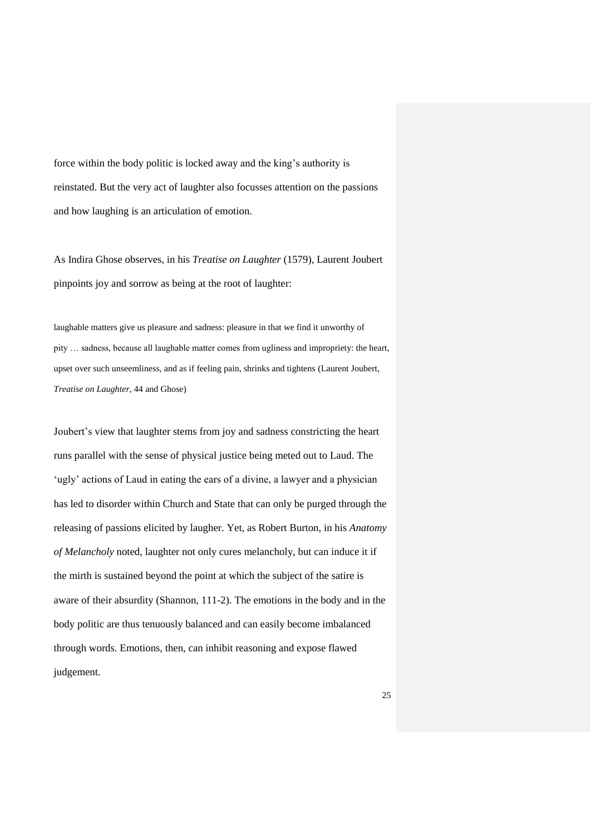force within the body politic is locked away and the king's authority is reinstated. But the very act of laughter also focusses attention on the passions and how laughing is an articulation of emotion.

As Indira Ghose observes, in his *Treatise on Laughter* (1579), Laurent Joubert pinpoints joy and sorrow as being at the root of laughter:

laughable matters give us pleasure and sadness: pleasure in that we find it unworthy of pity … sadness, because all laughable matter comes from ugliness and impropriety: the heart, upset over such unseemliness, and as if feeling pain, shrinks and tightens (Laurent Joubert, *Treatise on Laughter*, 44 and Ghose)

Joubert's view that laughter stems from joy and sadness constricting the heart runs parallel with the sense of physical justice being meted out to Laud. The 'ugly' actions of Laud in eating the ears of a divine, a lawyer and a physician has led to disorder within Church and State that can only be purged through the releasing of passions elicited by laugher. Yet, as Robert Burton, in his *Anatomy of Melancholy* noted, laughter not only cures melancholy, but can induce it if the mirth is sustained beyond the point at which the subject of the satire is aware of their absurdity (Shannon, 111-2). The emotions in the body and in the body politic are thus tenuously balanced and can easily become imbalanced through words. Emotions, then, can inhibit reasoning and expose flawed judgement.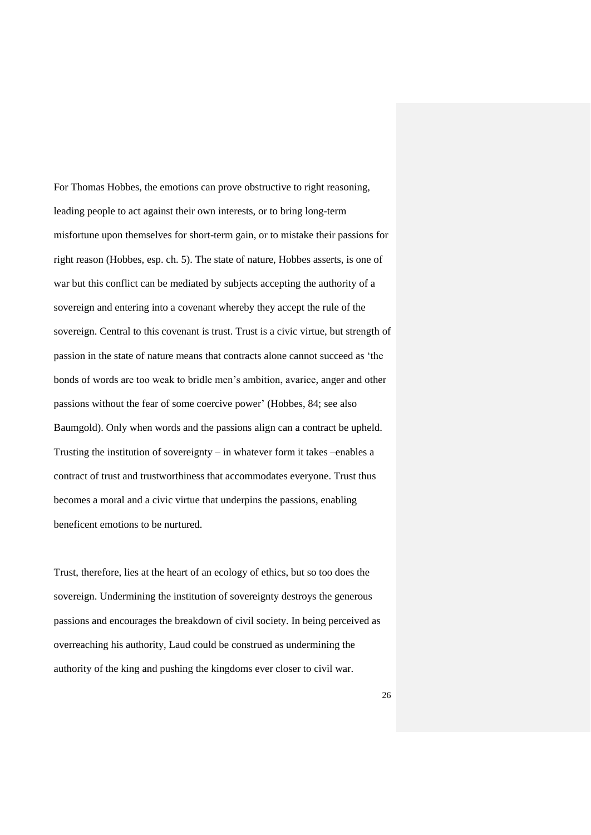For Thomas Hobbes, the emotions can prove obstructive to right reasoning, leading people to act against their own interests, or to bring long-term misfortune upon themselves for short-term gain, or to mistake their passions for right reason (Hobbes, esp. ch. 5). The state of nature, Hobbes asserts, is one of war but this conflict can be mediated by subjects accepting the authority of a sovereign and entering into a covenant whereby they accept the rule of the sovereign. Central to this covenant is trust. Trust is a civic virtue, but strength of passion in the state of nature means that contracts alone cannot succeed as 'the bonds of words are too weak to bridle men's ambition, avarice, anger and other passions without the fear of some coercive power' (Hobbes, 84; see also Baumgold). Only when words and the passions align can a contract be upheld. Trusting the institution of sovereignty – in whatever form it takes –enables a contract of trust and trustworthiness that accommodates everyone. Trust thus becomes a moral and a civic virtue that underpins the passions, enabling beneficent emotions to be nurtured.

Trust, therefore, lies at the heart of an ecology of ethics, but so too does the sovereign. Undermining the institution of sovereignty destroys the generous passions and encourages the breakdown of civil society. In being perceived as overreaching his authority, Laud could be construed as undermining the authority of the king and pushing the kingdoms ever closer to civil war.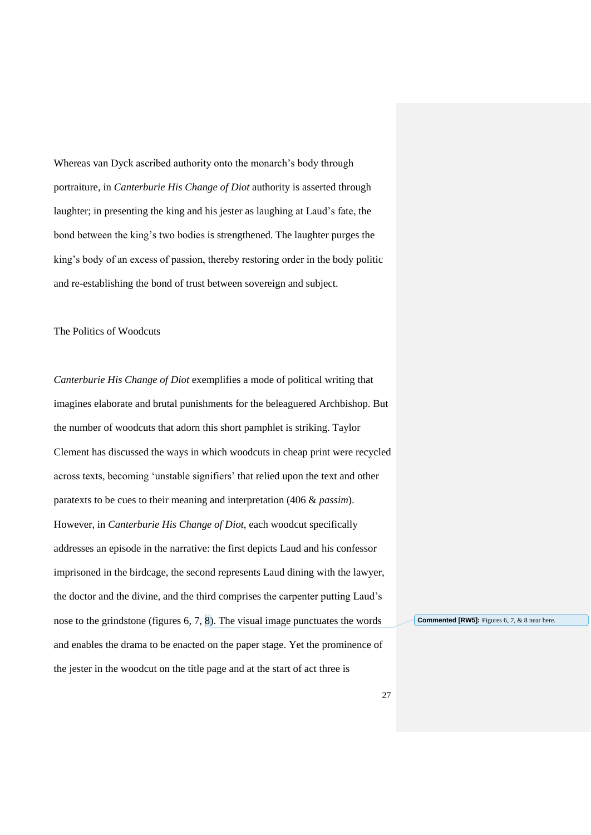Whereas van Dyck ascribed authority onto the monarch's body through portraiture, in *Canterburie His Change of Diot* authority is asserted through laughter; in presenting the king and his jester as laughing at Laud's fate, the bond between the king's two bodies is strengthened. The laughter purges the king's body of an excess of passion, thereby restoring order in the body politic and re-establishing the bond of trust between sovereign and subject.

The Politics of Woodcuts

*Canterburie His Change of Diot* exemplifies a mode of political writing that imagines elaborate and brutal punishments for the beleaguered Archbishop. But the number of woodcuts that adorn this short pamphlet is striking. Taylor Clement has discussed the ways in which woodcuts in cheap print were recycled across texts, becoming 'unstable signifiers' that relied upon the text and other paratexts to be cues to their meaning and interpretation (406 & *passim*). However, in *Canterburie His Change of Diot*, each woodcut specifically addresses an episode in the narrative: the first depicts Laud and his confessor imprisoned in the birdcage, the second represents Laud dining with the lawyer, the doctor and the divine, and the third comprises the carpenter putting Laud's nose to the grindstone (figures 6, 7, 8). The visual image punctuates the words and enables the drama to be enacted on the paper stage. Yet the prominence of the jester in the woodcut on the title page and at the start of act three is

**Commented [RW5]:** Figures 6, 7, & 8 near here.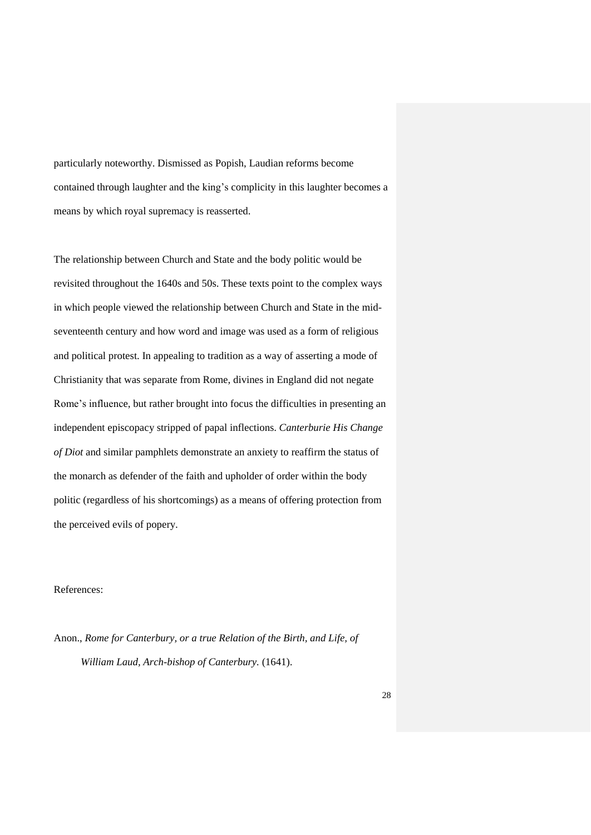particularly noteworthy. Dismissed as Popish, Laudian reforms become contained through laughter and the king's complicity in this laughter becomes a means by which royal supremacy is reasserted.

The relationship between Church and State and the body politic would be revisited throughout the 1640s and 50s. These texts point to the complex ways in which people viewed the relationship between Church and State in the midseventeenth century and how word and image was used as a form of religious and political protest. In appealing to tradition as a way of asserting a mode of Christianity that was separate from Rome, divines in England did not negate Rome's influence, but rather brought into focus the difficulties in presenting an independent episcopacy stripped of papal inflections. *Canterburie His Change of Diot* and similar pamphlets demonstrate an anxiety to reaffirm the status of the monarch as defender of the faith and upholder of order within the body politic (regardless of his shortcomings) as a means of offering protection from the perceived evils of popery.

### References:

Anon., *Rome for Canterbury, or a true Relation of the Birth, and Life, of William Laud, Arch-bishop of Canterbury.* (1641).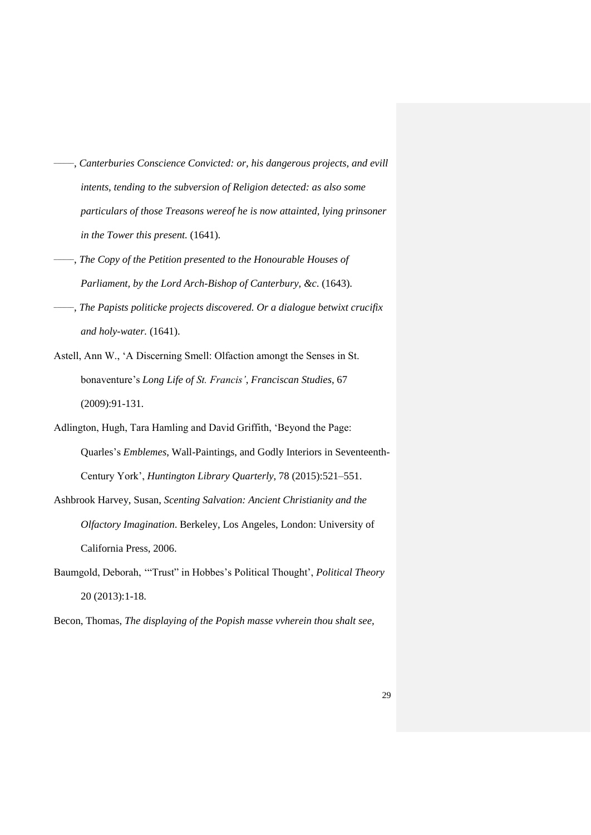- \_\_\_\_\_\_ , *Canterburies Conscience Convicted: or, his dangerous projects, and evill intents, tending to the subversion of Religion detected: as also some particulars of those Treasons wereof he is now attainted, lying prinsoner in the Tower this present.* (1641).
- \_\_\_\_\_\_ , *The Copy of the Petition presented to the Honourable Houses of Parliament, by the Lord Arch-Bishop of Canterbury, &c*. (1643).
- \_\_\_\_\_\_ , *The Papists politicke projects discovered. Or a dialogue betwixt crucifix and holy-water.* (1641).
- Astell, Ann W., 'A Discerning Smell: Olfaction amongt the Senses in St. bonaventure's *Long Life of St. Francis'*, *Franciscan Studies*, 67 (2009):91-131.
- Adlington, Hugh, Tara Hamling and David Griffith, 'Beyond the Page: Quarles's *Emblemes*, Wall-Paintings, and Godly Interiors in Seventeenth-Century York', *Huntington Library Quarterly*, 78 (2015):521–551.
- Ashbrook Harvey, Susan, *Scenting Salvation: Ancient Christianity and the Olfactory Imagination*. Berkeley, Los Angeles, London: University of California Press, 2006.
- Baumgold, Deborah, '"Trust" in Hobbes's Political Thought', *Political Theory* 20 (2013):1-18.
- Becon, Thomas, *The displaying of the Popish masse vvherein thou shalt see,*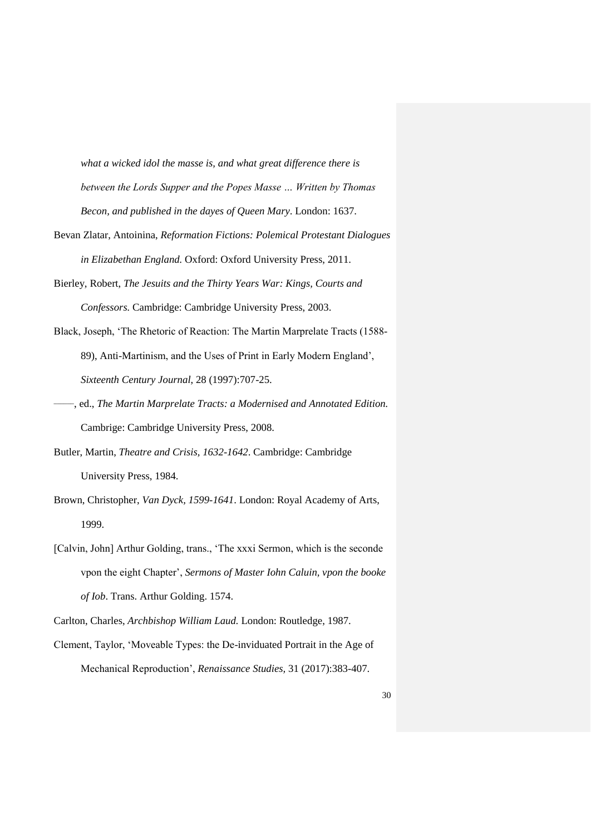*what a wicked idol the masse is, and what great difference there is between the Lords Supper and the Popes Masse … Written by Thomas Becon, and published in the dayes of Queen Mary*. London: 1637.

- Bevan Zlatar, Antoinina, *Reformation Fictions: Polemical Protestant Dialogues in Elizabethan England.* Oxford: Oxford University Press, 2011.
- Bierley, Robert, *The Jesuits and the Thirty Years War: Kings, Courts and Confessors.* Cambridge: Cambridge University Press, 2003.
- Black, Joseph, 'The Rhetoric of Reaction: The Martin Marprelate Tracts (1588- 89), Anti-Martinism, and the Uses of Print in Early Modern England', *Sixteenth Century Journal*, 28 (1997):707-25.
- \_\_\_\_\_\_, ed., *The Martin Marprelate Tracts: a Modernised and Annotated Edition.* Cambrige: Cambridge University Press, 2008.
- Butler, Martin, *Theatre and Crisis, 1632-1642*. Cambridge: Cambridge University Press, 1984.
- Brown, Christopher, *Van Dyck, 1599-1641*. London: Royal Academy of Arts, 1999.
- [Calvin, John] Arthur Golding, trans., 'The xxxi Sermon, which is the seconde vpon the eight Chapter', *Sermons of Master Iohn Caluin, vpon the booke of Iob*. Trans. Arthur Golding. 1574.

Clement, Taylor, 'Moveable Types: the De-inviduated Portrait in the Age of Mechanical Reproduction', *Renaissance Studies,* 31 (2017):383-407.

Carlton, Charles, *Archbishop William Laud.* London: Routledge, 1987.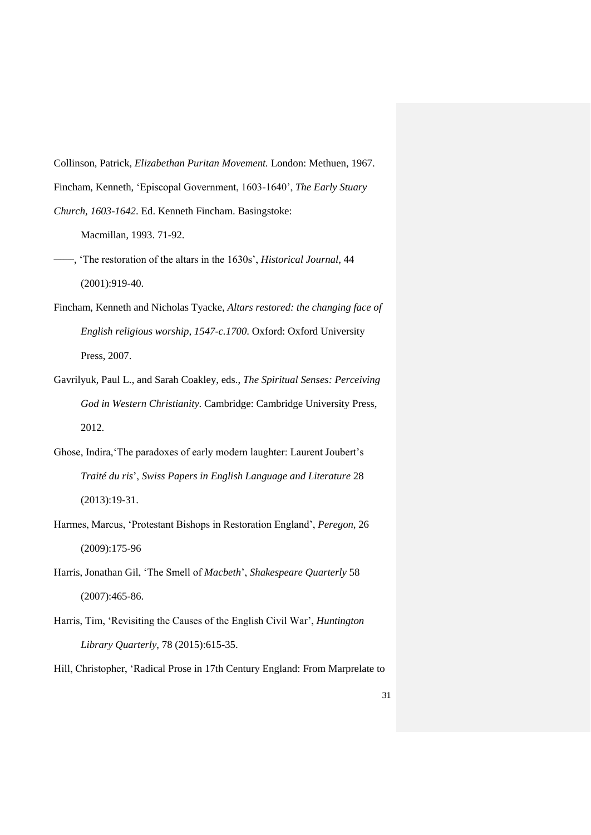Collinson, Patrick, *Elizabethan Puritan Movement.* London: Methuen, 1967. Fincham, Kenneth, 'Episcopal Government, 1603-1640', *The Early Stuary Church, 1603-1642*. Ed. Kenneth Fincham. Basingstoke:

Macmillan, 1993. 71-92.

- \_\_\_\_\_\_ , 'The restoration of the altars in the 1630s', *Historical Journal*, 44 (2001):919-40.
- Fincham, Kenneth and Nicholas Tyacke, *Altars restored: the changing face of English religious worship, 1547-c.1700*. Oxford: Oxford University Press, 2007.
- Gavrilyuk, Paul L., and Sarah Coakley, eds., *The Spiritual Senses: Perceiving God in Western Christianity*. Cambridge: Cambridge University Press, 2012.
- Ghose, Indira,'The paradoxes of early modern laughter: Laurent Joubert's *Traité du ris*', *Swiss Papers in English Language and Literature* 28 (2013):19-31.
- Harmes, Marcus, 'Protestant Bishops in Restoration England', *Peregon*, 26 (2009):175-96
- Harris, Jonathan Gil, 'The Smell of *Macbeth*', *Shakespeare Quarterly* 58 (2007):465-86.
- Harris, Tim, 'Revisiting the Causes of the English Civil War', *Huntington Library Quarterly*, 78 (2015):615-35.
- Hill, Christopher, 'Radical Prose in 17th Century England: From Marprelate to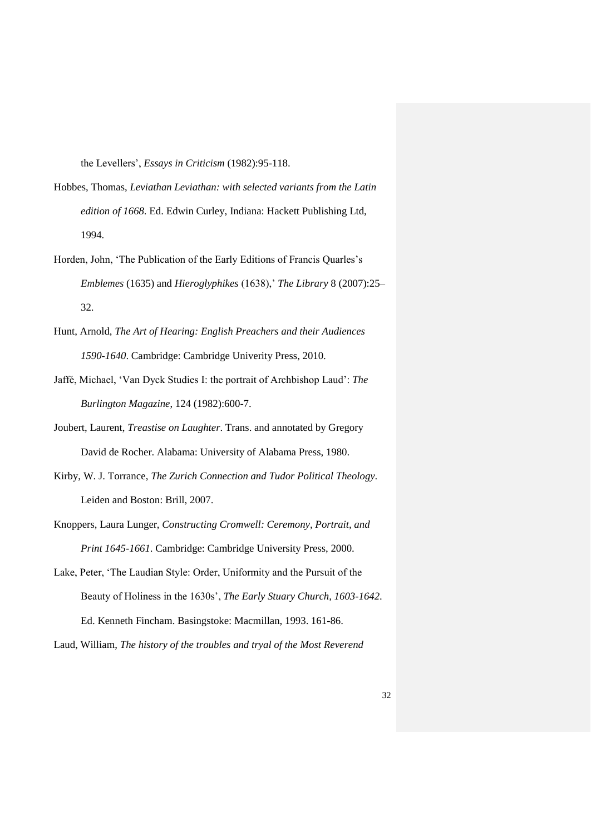the Levellers', *Essays in Criticism* (1982):95-118.

- Hobbes, Thomas, *Leviathan Leviathan: with selected variants from the Latin edition of 1668*. Ed. Edwin Curley, Indiana: Hackett Publishing Ltd, 1994.
- Horden, John, 'The Publication of the Early Editions of Francis Quarles's *Emblemes* (1635) and *Hieroglyphikes* (1638),' *The Library* 8 (2007):25– 32.
- Hunt, Arnold, *The Art of Hearing: English Preachers and their Audiences 1590-1640*. Cambridge: Cambridge Univerity Press, 2010.
- Jaffé, Michael, 'Van Dyck Studies I: the portrait of Archbishop Laud': *The Burlington Magazine*, 124 (1982):600-7.
- Joubert, Laurent, *Treastise on Laughter*. Trans. and annotated by Gregory David de Rocher. Alabama: University of Alabama Press, 1980.
- Kirby, W. J. Torrance, *The Zurich Connection and Tudor Political Theology*. Leiden and Boston: Brill, 2007.
- Knoppers, Laura Lunger, *Constructing Cromwell: Ceremony, Portrait, and Print 1645-1661*. Cambridge: Cambridge University Press, 2000.
- Lake, Peter, 'The Laudian Style: Order, Uniformity and the Pursuit of the Beauty of Holiness in the 1630s', *The Early Stuary Church, 1603-1642*. Ed. Kenneth Fincham. Basingstoke: Macmillan, 1993. 161-86.
- Laud, William, *The history of the troubles and tryal of the Most Reverend*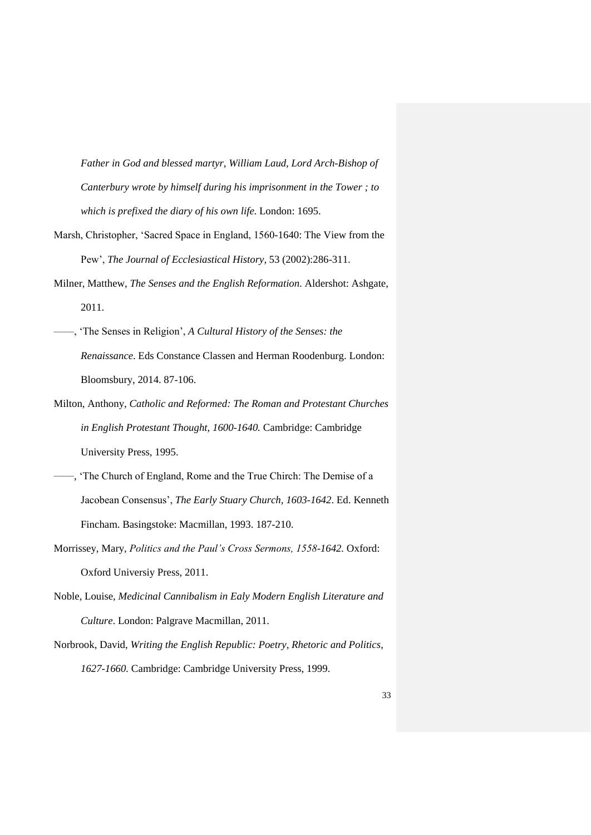*Father in God and blessed martyr, William Laud, Lord Arch-Bishop of Canterbury wrote by himself during his imprisonment in the Tower ; to which is prefixed the diary of his own life*. London: 1695.

- Marsh, Christopher, 'Sacred Space in England, 1560-1640: The View from the Pew', *The Journal of Ecclesiastical History,* 53 (2002):286-311.
- Milner, Matthew, *The Senses and the English Reformation*. Aldershot: Ashgate, 2011.
- \_\_\_\_\_\_, 'The Senses in Religion', *A Cultural History of the Senses: the Renaissance*. Eds Constance Classen and Herman Roodenburg. London: Bloomsbury, 2014. 87-106.
- Milton, Anthony, *Catholic and Reformed: The Roman and Protestant Churches in English Protestant Thought, 1600-1640.* Cambridge: Cambridge University Press, 1995.
- \_\_\_\_\_\_ , 'The Church of England, Rome and the True Chirch: The Demise of a Jacobean Consensus', *The Early Stuary Church, 1603-1642*. Ed. Kenneth Fincham. Basingstoke: Macmillan, 1993. 187-210.
- Morrissey, Mary, *Politics and the Paul's Cross Sermons, 1558-1642.* Oxford: Oxford Universiy Press, 2011.
- Noble, Louise, *Medicinal Cannibalism in Ealy Modern English Literature and Culture*. London: Palgrave Macmillan, 2011.
- Norbrook, David, *Writing the English Republic: Poetry, Rhetoric and Politics, 1627-1660.* Cambridge: Cambridge University Press, 1999.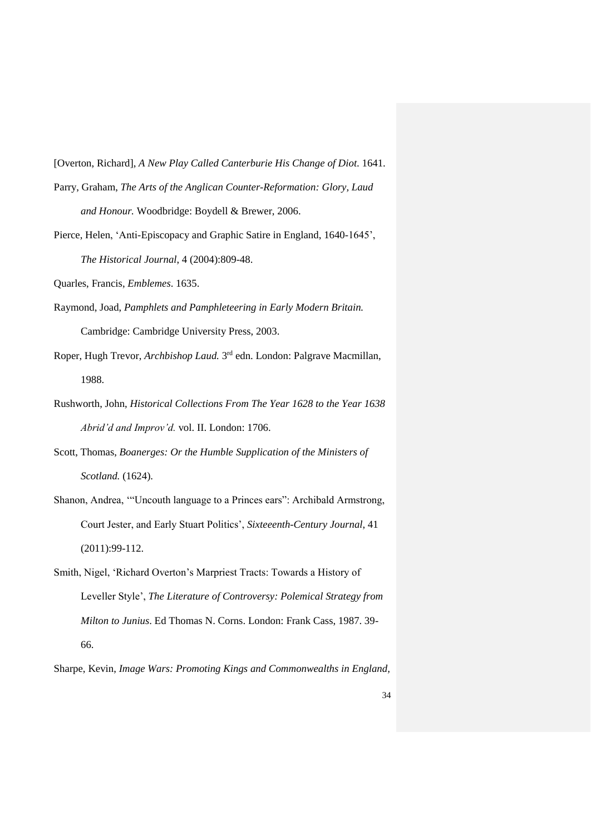[Overton, Richard], *A New Play Called Canterburie His Change of Diot*. 1641.

- Parry, Graham, *The Arts of the Anglican Counter-Reformation: Glory, Laud and Honour.* Woodbridge: Boydell & Brewer, 2006.
- Pierce, Helen, 'Anti-Episcopacy and Graphic Satire in England, 1640-1645', *The Historical Journal*, 4 (2004):809-48.
- Quarles, Francis, *Emblemes*. 1635.
- Raymond, Joad, *Pamphlets and Pamphleteering in Early Modern Britain.*  Cambridge: Cambridge University Press, 2003.
- Roper, Hugh Trevor, *Archbishop Laud.* 3<sup>rd</sup> edn. London: Palgrave Macmillan, 1988.
- Rushworth, John, *Historical Collections From The Year 1628 to the Year 1638 Abrid'd and Improv'd.* vol. II. London: 1706.
- Scott, Thomas, *Boanerges: Or the Humble Supplication of the Ministers of Scotland.* (1624).
- Shanon, Andrea, '"Uncouth language to a Princes ears": Archibald Armstrong, Court Jester, and Early Stuart Politics', *Sixteeenth-Century Journal*, 41 (2011):99-112.
- Smith, Nigel, 'Richard Overton's Marpriest Tracts: Towards a History of Leveller Style', *The Literature of Controversy: Polemical Strategy from Milton to Junius*. Ed Thomas N. Corns. London: Frank Cass, 1987. 39- 66.

Sharpe, Kevin, *Image Wars: Promoting Kings and Commonwealths in England,*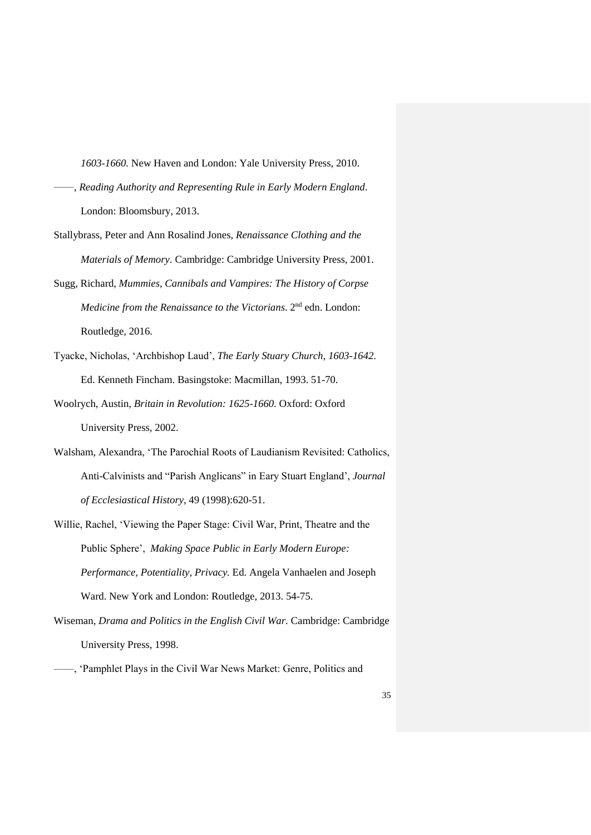*1603-1660.* New Haven and London: Yale University Press, 2010.

- \_\_\_\_\_\_ , *Reading Authority and Representing Rule in Early Modern England*. London: Bloomsbury, 2013.
- Stallybrass, Peter and Ann Rosalind Jones, *Renaissance Clothing and the Materials of Memory*. Cambridge: Cambridge University Press, 2001.
- Sugg, Richard, *Mummies, Cannibals and Vampires: The History of Corpse Medicine from the Renaissance to the Victorians.* 2<sup>nd</sup> edn. London: Routledge, 2016.
- Tyacke, Nicholas, 'Archbishop Laud', *The Early Stuary Church, 1603-1642*. Ed. Kenneth Fincham. Basingstoke: Macmillan, 1993. 51-70.
- Woolrych, Austin, *Britain in Revolution: 1625-1660.* Oxford: Oxford University Press, 2002.
- Walsham, Alexandra, 'The Parochial Roots of Laudianism Revisited: Catholics, Anti-Calvinists and "Parish Anglicans" in Eary Stuart England', *Journal of Ecclesiastical History*, 49 (1998):620-51.
- Willie, Rachel, 'Viewing the Paper Stage: Civil War, Print, Theatre and the Public Sphere', *Making Space Public in Early Modern Europe: Performance, Potentiality, Privacy.* Ed. Angela Vanhaelen and Joseph Ward. New York and London: Routledge, 2013. 54-75.
- Wiseman, *Drama and Politics in the English Civil War.* Cambridge: Cambridge University Press, 1998.
- \_\_\_\_\_\_, 'Pamphlet Plays in the Civil War News Market: Genre, Politics and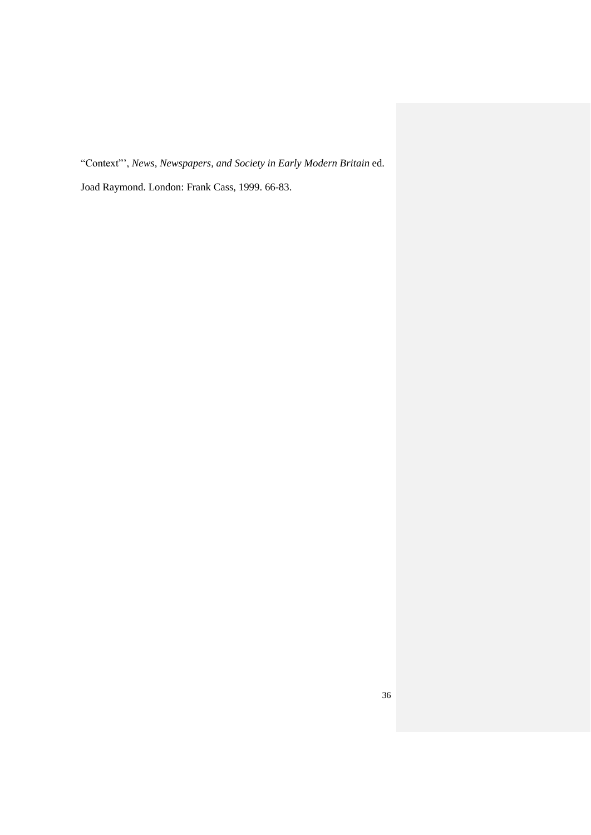"Context"', *News, Newspapers, and Society in Early Modern Britain* ed.

Joad Raymond. London: Frank Cass, 1999. 66-83.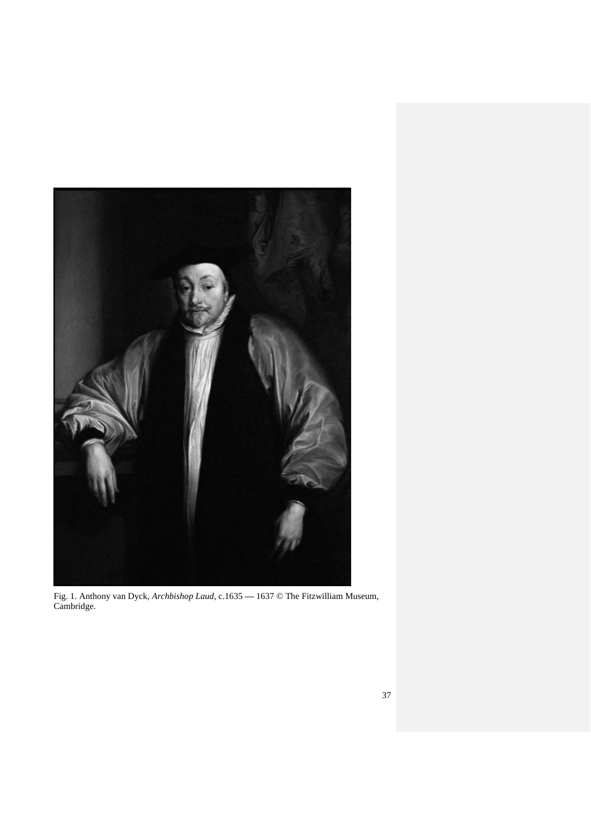

Fig. 1. Anthony van Dyck, *Archbishop Laud*, c.1635 **—** 1637 © The Fitzwilliam Museum, Cambridge.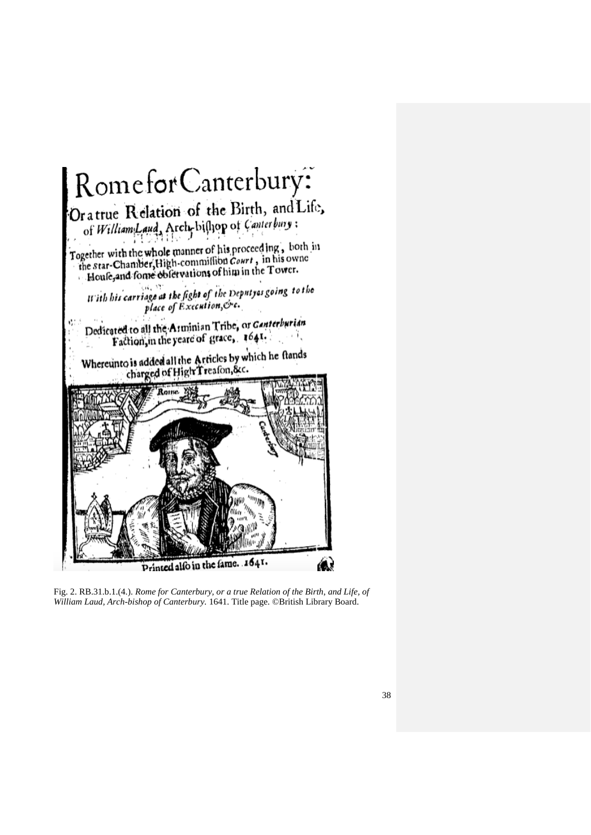

Fig. 2. RB.31.b.1.(4.). *Rome for Canterbury, or a true Relation of the Birth, and Life, of William Laud, Arch-bishop of Canterbury.* 1641. Title page. ©British Library Board.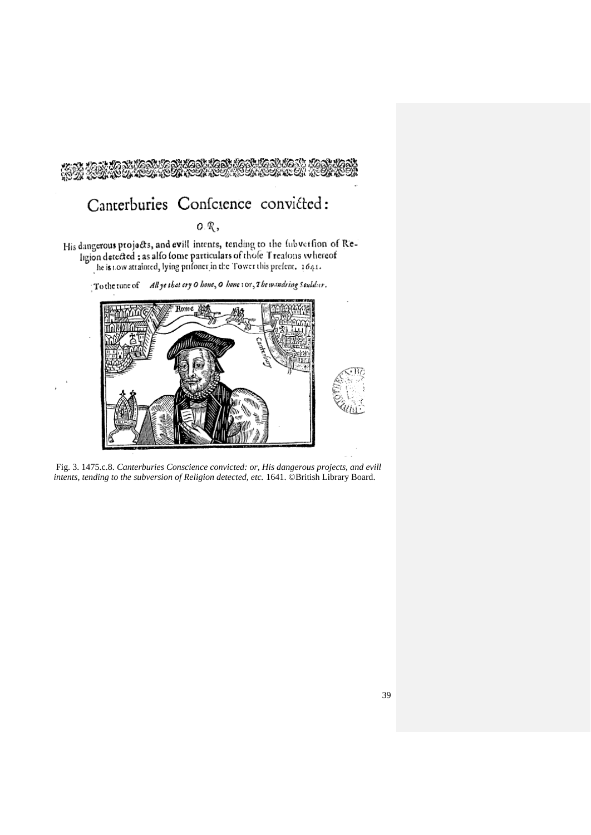



Fig. 3. 1475.c.8. *Canterburies Conscience convicted: or, His dangerous projects, and evill intents, tending to the subversion of Religion detected, etc.* 1641. ©British Library Board.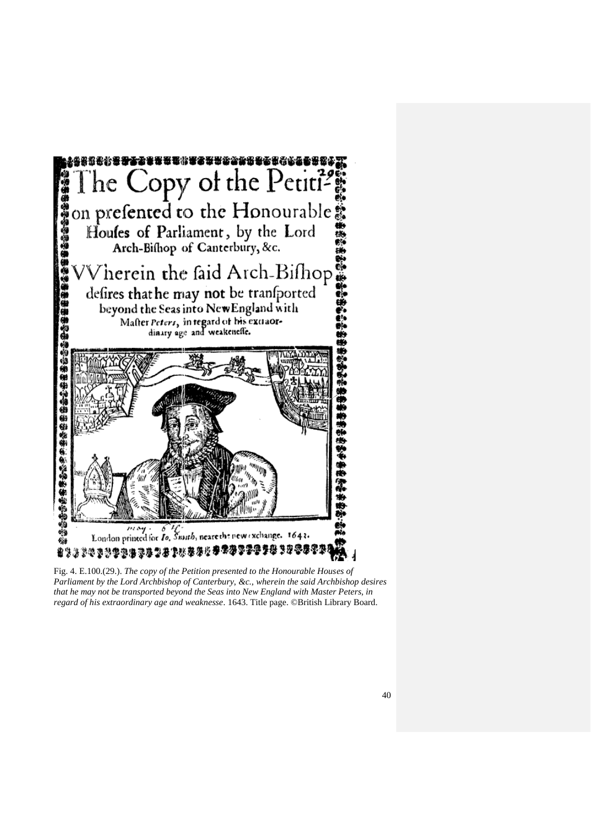

Fig. 4. E.100.(29.). *The copy of the Petition presented to the Honourable Houses of Parliament by the Lord Archbishop of Canterbury, &c., wherein the said Archbishop desires that he may not be transported beyond the Seas into New England with Master Peters, in regard of his extraordinary age and weaknesse*. 1643. Title page. ©British Library Board.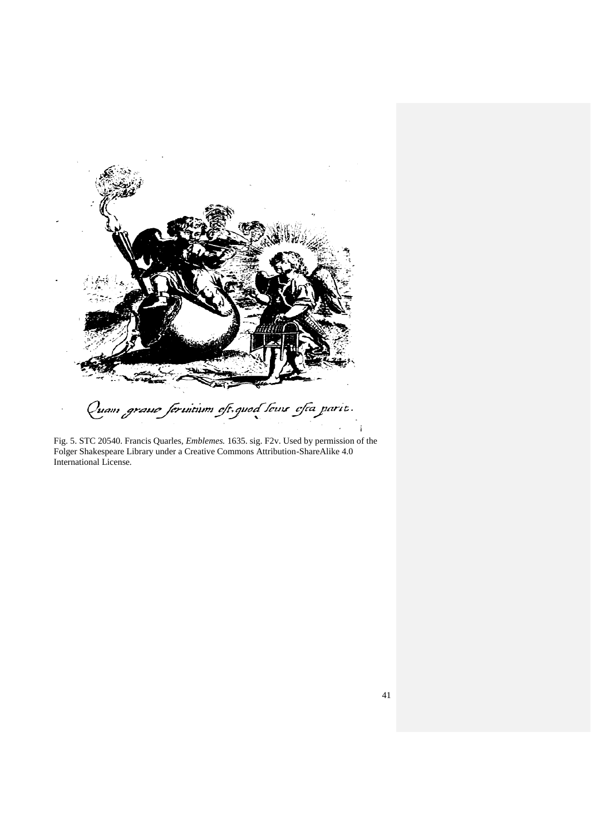

Fig. 5. STC 20540. Francis Quarles, *Emblemes.* 1635. sig. F2v. Used by permission of the Folger Shakespeare Library under a Creative Commons Attribution-ShareAlike 4.0 International License*.*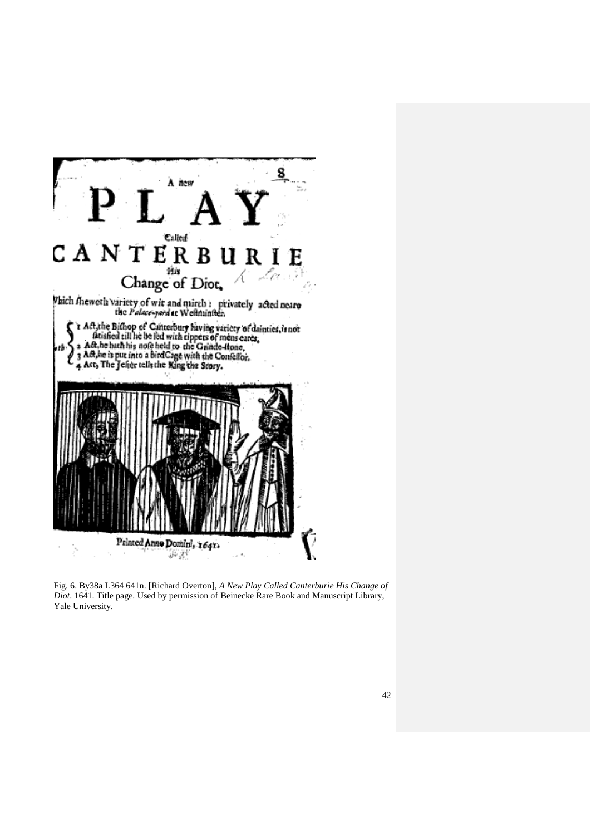

Fig. 6. By38a L364 641n. [Richard Overton], *A New Play Called Canterburie His Change of Diot*. 1641. Title page. Used by permission of Beinecke Rare Book and Manuscript Library, Yale University.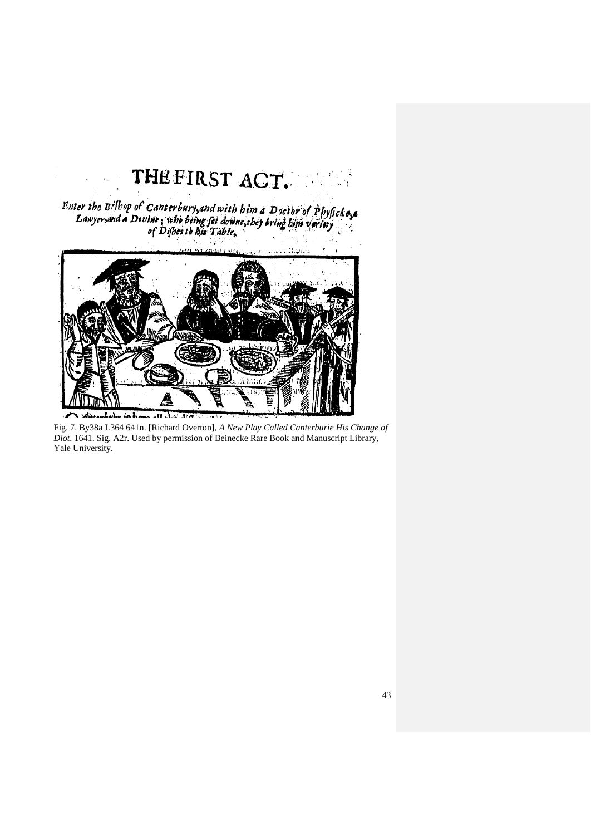## THEFIRST ACT.  $\frac{1}{2}$

Enter the B<sup>:</sup> [bop of Canterbury, and with him a Doctor of Physicke...]<br>Lawyer, and a Divine: who being fet downe, they bring him variety

 $\ddot{\phantom{a}}$ 



Fig. 7. By38a L364 641n. [Richard Overton], *A New Play Called Canterburie His Change of Diot*. 1641. Sig. A2r. Used by permission of Beinecke Rare Book and Manuscript Library, Yale University.